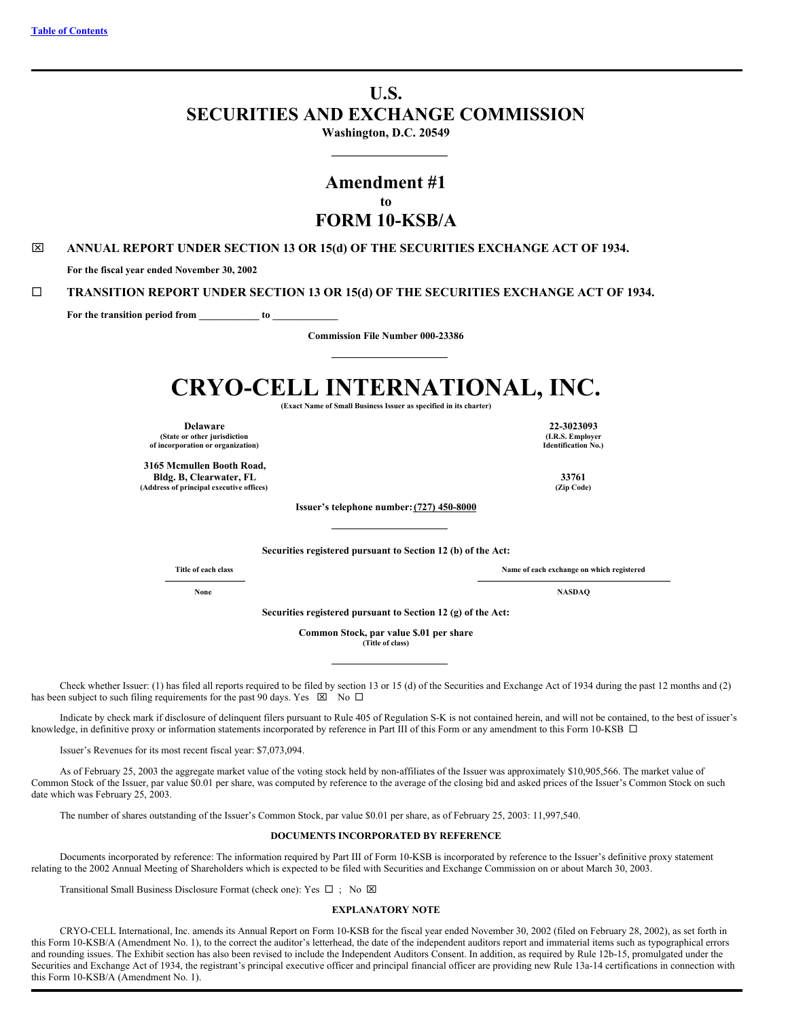# **U.S. SECURITIES AND EXCHANGE COMMISSION**

**Washington, D.C. 20549**

# **Amendment #1 to FORM 10-KSB/A**

## x **ANNUAL REPORT UNDER SECTION 13 OR 15(d) OF THE SECURITIES EXCHANGE ACT OF 1934.**

**For the fiscal year ended November 30, 2002**

## ¨ **TRANSITION REPORT UNDER SECTION 13 OR 15(d) OF THE SECURITIES EXCHANGE ACT OF 1934.**

**For the transition period from \_\_\_\_\_\_\_\_\_\_\_\_ to \_\_\_\_\_\_\_\_\_\_\_\_\_**

**Commission File Number 000-23386**

# **CRYO-CELL INTERNATIONAL, INC.**

**(Exact Name of Small Business Issuer as specified in its charter)**

**Delaware 22-3023093 (State or other jurisdiction of incorporation or organization)**

**3165 Mcmullen Booth Road, Bldg. B, Clearwater, FL 33761**  $(Address of principal executive offices)$ 

**Issuer's telephone number:(727) 450-8000**

**Securities registered pursuant to Section 12 (b) of the Act:**

**(I.R.S. Employer Identification No.)**

**Title of each class Name of each exchange on which registered**

**None NASDAQ**

**Securities registered pursuant to Section 12 (g) of the Act:**

**Common Stock, par value \$.01 per share (Title of class)**

Check whether Issuer: (1) has filed all reports required to be filed by section 13 or 15 (d) of the Securities and Exchange Act of 1934 during the past 12 months and (2) has been subject to such filing requirements for the past 90 days. Yes  $\boxtimes$  No  $\Box$ 

Indicate by check mark if disclosure of delinquent filers pursuant to Rule 405 of Regulation S-K is not contained herein, and will not be contained, to the best of issuer's knowledge, in definitive proxy or information statements incorporated by reference in Part III of this Form or any amendment to this Form 10-KSB  $\Box$ 

Issuer's Revenues for its most recent fiscal year: \$7,073,094.

As of February 25, 2003 the aggregate market value of the voting stock held by non-affiliates of the Issuer was approximately \$10,905,566. The market value of Common Stock of the Issuer, par value \$0.01 per share, was computed by reference to the average of the closing bid and asked prices of the Issuer's Common Stock on such date which was February 25, 2003.

The number of shares outstanding of the Issuer's Common Stock, par value \$0.01 per share, as of February 25, 2003: 11,997,540.

## **DOCUMENTS INCORPORATED BY REFERENCE**

Documents incorporated by reference: The information required by Part III of Form 10-KSB is incorporated by reference to the Issuer's definitive proxy statement relating to the 2002 Annual Meeting of Shareholders which is expected to be filed with Securities and Exchange Commission on or about March 30, 2003.

Transitional Small Business Disclosure Format (check one): Yes  $\Box$ ; No  $\boxtimes$ 

## **EXPLANATORY NOTE**

CRYO-CELL International, Inc. amends its Annual Report on Form 10-KSB for the fiscal year ended November 30, 2002 (filed on February 28, 2002), as set forth in this Form 10-KSB/A (Amendment No. 1), to the correct the auditor's letterhead, the date of the independent auditors report and immaterial items such as typographical errors and rounding issues. The Exhibit section has also been revised to include the Independent Auditors Consent. In addition, as required by Rule 12b-15, promulgated under the Securities and Exchange Act of 1934, the registrant's principal executive officer and principal financial officer are providing new Rule 13a-14 certifications in connection with this Form 10-KSB/A (Amendment No. 1).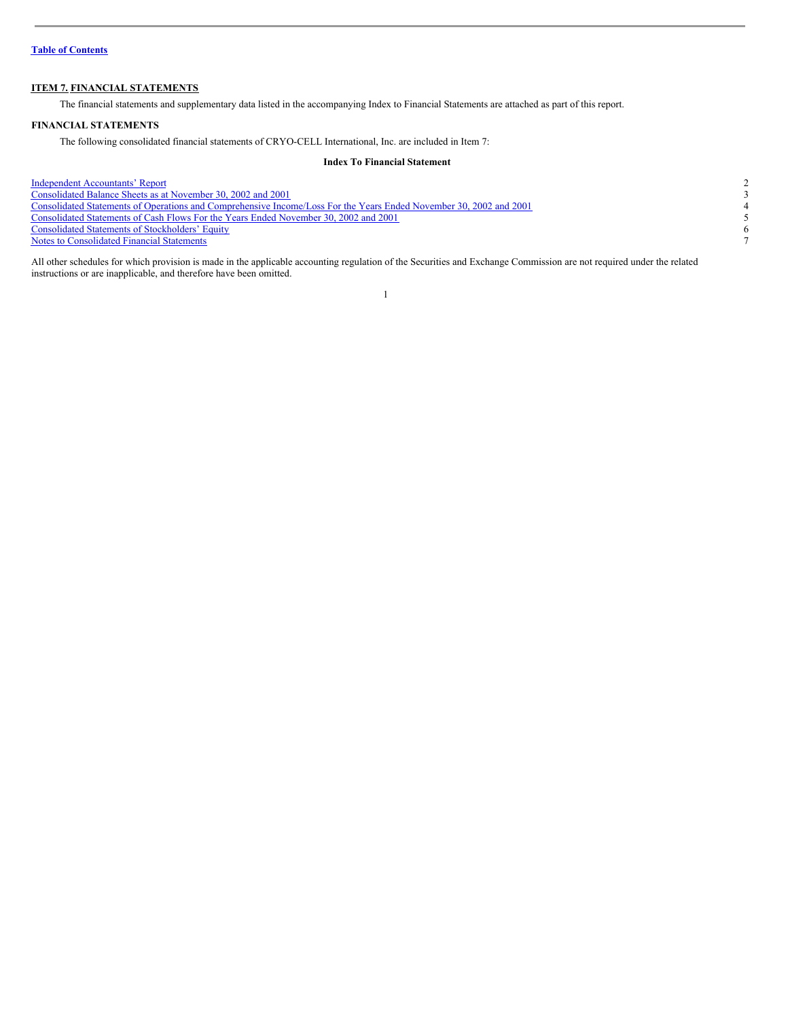## **ITEM 7. FINANCIAL STATEMENTS**

The financial statements and supplementary data listed in the accompanying Index to Financial Statements are attached as part of this report.

#### **FINANCIAL STATEMENTS**

The following consolidated financial statements of CRYO-CELL International, Inc. are included in Item 7:

## <span id="page-1-0"></span>**Index To Financial Statement**

92<br>
<u>Consolidated Balance Sheets as at November 30, 2002 and 2001</u><br>
<u>Consolidated Statements of Operations and Comprehensive Income/Loss For the Years Ended November 30, 2002 and 2001</u><br>
2011<br>
2011<br>
2011<br>
2012 Consolidated [Consolidated](#page-3-0) Balance Sheets as at November 30, 2002 and 2001 Consolidated Statements of Operations and [Comprehensive](#page-4-0) Income/Loss For the Years Ended November 30, 2002 and 2001 4 [Consolidated](#page-5-0) Statements of Cash Flows For the Years Ended November 30, 2002 and 2001 Consolidated Statements of [Stockholders'](#page-7-0) Equity 6<br>
Notes to Consolidated Financial Statements 6

Notes to [Consolidated](#page-8-0) Financial Statements

All other schedules for which provision is made in the applicable accounting regulation of the Securities and Exchange Commission are not required under the related instructions or are inapplicable, and therefore have been omitted.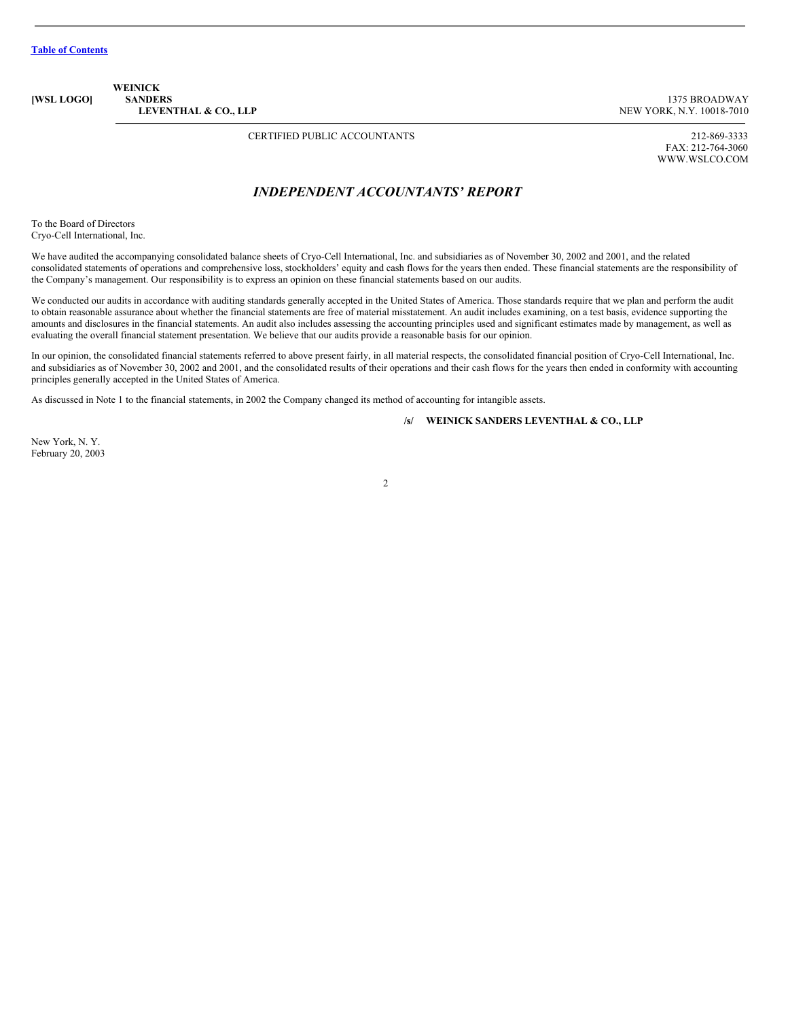**[WSL LOGO]**

**WEINICK SANDERS LEVENTHAL & CO., LLP**

1375 BROADWAY NEW YORK, N.Y. 10018-7010

CERTIFIED PUBLIC ACCOUNTANTS 212-869-3333

FAX: 212-764-3060 WWW.WSLCO.COM

## <span id="page-2-0"></span>*INDEPENDENT ACCOUNTANTS' REPORT*

To the Board of Directors Cryo-Cell International, Inc.

We have audited the accompanying consolidated balance sheets of Cryo-Cell International, Inc. and subsidiaries as of November 30, 2002 and 2001, and the related consolidated statements of operations and comprehensive loss, stockholders' equity and cash flows for the years then ended. These financial statements are the responsibility of the Company's management. Our responsibility is to express an opinion on these financial statements based on our audits.

We conducted our audits in accordance with auditing standards generally accepted in the United States of America. Those standards require that we plan and perform the audit to obtain reasonable assurance about whether the financial statements are free of material misstatement. An audit includes examining, on a test basis, evidence supporting the amounts and disclosures in the financial statements. An audit also includes assessing the accounting principles used and significant estimates made by management, as well as evaluating the overall financial statement presentation. We believe that our audits provide a reasonable basis for our opinion.

In our opinion, the consolidated financial statements referred to above present fairly, in all material respects, the consolidated financial position of Cryo-Cell International, Inc. and subsidiaries as of November 30, 2002 and 2001, and the consolidated results of their operations and their cash flows for the years then ended in conformity with accounting principles generally accepted in the United States of America.

As discussed in Note 1 to the financial statements, in 2002 the Company changed its method of accounting for intangible assets.

**/s/ WEINICK SANDERS LEVENTHAL & CO., LLP**

New York, N. Y. February 20, 2003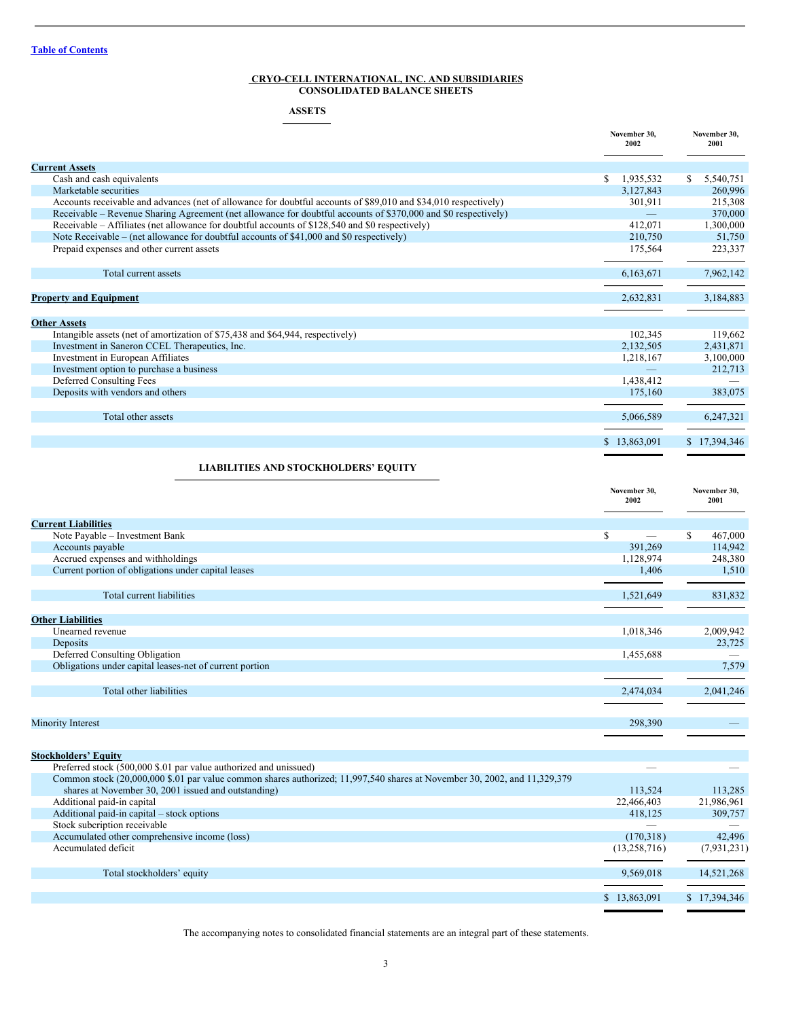**Table of [Contents](#page-1-0)**

#### <span id="page-3-0"></span>**CRYO-CELL INTERNATIONAL, INC. AND SUBSIDIARIES CONSOLIDATED BALANCE SHEETS**

## **ASSETS**

|                                                                                                                 | November 30.<br>2002 | November 30,<br>2001 |  |
|-----------------------------------------------------------------------------------------------------------------|----------------------|----------------------|--|
| <b>Current Assets</b>                                                                                           |                      |                      |  |
| Cash and cash equivalents                                                                                       | 1,935,532<br>S.      | 5,540,751<br>S       |  |
| Marketable securities                                                                                           | 3,127,843            | 260,996              |  |
| Accounts receivable and advances (net of allowance for doubtful accounts of \$89,010 and \$34,010 respectively) | 301.911              | 215,308              |  |
| Receivable – Revenue Sharing Agreement (net allowance for doubtful accounts of \$370,000 and \$0 respectively)  |                      | 370,000              |  |
| Receivable – Affiliates (net allowance for doubtful accounts of \$128,540 and \$0 respectively)                 | 412,071              | 1,300,000            |  |
| Note Receivable – (net allowance for doubtful accounts of $$41,000$ and $$0$ respectively)                      | 210,750              | 51,750               |  |
| Prepaid expenses and other current assets                                                                       | 175,564              | 223,337              |  |
| Total current assets                                                                                            | 6,163,671            | 7,962,142            |  |
| <b>Property and Equipment</b>                                                                                   | 2,632,831            | 3,184,883            |  |
| <b>Other Assets</b>                                                                                             |                      |                      |  |
| Intangible assets (net of amortization of \$75,438 and \$64,944, respectively)                                  | 102,345              | 119,662              |  |
| Investment in Saneron CCEL Therapeutics, Inc.                                                                   | 2,132,505            | 2,431,871            |  |
| Investment in European Affiliates                                                                               | 1,218,167            | 3,100,000            |  |
| Investment option to purchase a business                                                                        |                      | 212,713              |  |
| Deferred Consulting Fees                                                                                        | 1,438,412            |                      |  |
| Deposits with vendors and others                                                                                | 175,160              | 383,075              |  |
| Total other assets                                                                                              | 5,066,589            | 6,247,321            |  |
|                                                                                                                 | \$13,863,091         | \$17,394,346         |  |

## **LIABILITIES AND STOCKHOLDERS' EQUITY**

|                                                                                                                           | November 30,<br>2002 |              | November 30,<br>2001 |               |
|---------------------------------------------------------------------------------------------------------------------------|----------------------|--------------|----------------------|---------------|
| <b>Current Liabilities</b>                                                                                                |                      |              |                      |               |
| Note Payable - Investment Bank                                                                                            | $\mathbf S$          |              | S.                   | 467,000       |
| Accounts payable                                                                                                          |                      | 391.269      |                      | 114,942       |
| Accrued expenses and withholdings                                                                                         |                      | 1,128,974    |                      | 248,380       |
| Current portion of obligations under capital leases                                                                       |                      | 1,406        |                      | 1,510         |
| Total current liabilities                                                                                                 |                      | 1,521,649    |                      | 831,832       |
| <b>Other Liabilities</b>                                                                                                  |                      |              |                      |               |
| Unearned revenue                                                                                                          |                      | 1,018,346    |                      | 2,009,942     |
| Deposits                                                                                                                  |                      |              |                      | 23,725        |
| Deferred Consulting Obligation                                                                                            |                      | 1,455,688    |                      |               |
| Obligations under capital leases-net of current portion                                                                   |                      |              |                      | 7,579         |
| Total other liabilities                                                                                                   |                      | 2,474,034    |                      | 2,041,246     |
| <b>Minority Interest</b>                                                                                                  |                      | 298,390      |                      |               |
| <b>Stockholders' Equity</b>                                                                                               |                      |              |                      |               |
| Preferred stock (500,000 \$.01 par value authorized and unissued)                                                         |                      |              |                      |               |
| Common stock (20,000,000 \$.01 par value common shares authorized; 11,997,540 shares at November 30, 2002, and 11,329,379 |                      |              |                      |               |
| shares at November 30, 2001 issued and outstanding)                                                                       |                      | 113,524      |                      | 113,285       |
| Additional paid-in capital                                                                                                |                      | 22,466,403   |                      | 21,986,961    |
| Additional paid-in capital – stock options                                                                                |                      | 418,125      |                      | 309,757       |
| Stock subcription receivable                                                                                              |                      |              |                      |               |
| Accumulated other comprehensive income (loss)                                                                             |                      | (170,318)    |                      | 42,496        |
| Accumulated deficit                                                                                                       |                      | (13,258,716) |                      | (7, 931, 231) |
| Total stockholders' equity                                                                                                |                      | 9,569,018    |                      | 14,521,268    |
|                                                                                                                           |                      | \$13,863,091 |                      | \$17,394,346  |

The accompanying notes to consolidated financial statements are an integral part of these statements.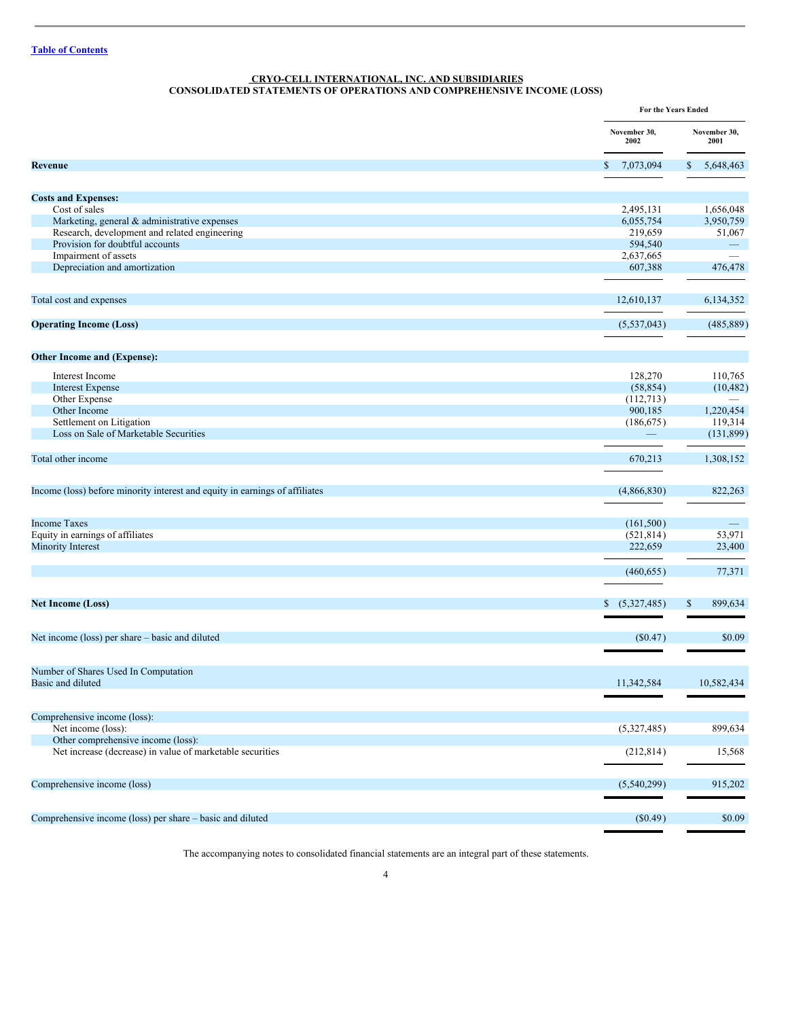## <span id="page-4-0"></span>**CRYO-CELL INTERNATIONAL, INC. AND SUBSIDIARIES CONSOLIDATED STATEMENTS OF OPERATIONS AND COMPREHENSIVE INCOME (LOSS)**

|                                                                             | For the Years Ended  |                           |  |
|-----------------------------------------------------------------------------|----------------------|---------------------------|--|
|                                                                             | November 30,<br>2002 | November 30,<br>2001      |  |
| Revenue                                                                     | 7,073,094<br>S.      | $\mathbb{S}$<br>5,648,463 |  |
| <b>Costs and Expenses:</b>                                                  |                      |                           |  |
| Cost of sales                                                               | 2,495,131            | 1,656,048                 |  |
| Marketing, general & administrative expenses                                | 6,055,754            | 3,950,759                 |  |
| Research, development and related engineering                               | 219,659              | 51,067                    |  |
| Provision for doubtful accounts                                             | 594,540              |                           |  |
| Impairment of assets                                                        | 2,637,665            |                           |  |
| Depreciation and amortization                                               | 607,388              | 476,478                   |  |
|                                                                             |                      |                           |  |
| Total cost and expenses                                                     | 12,610,137           | 6,134,352                 |  |
| <b>Operating Income (Loss)</b>                                              | (5,537,043)          | (485, 889)                |  |
| Other Income and (Expense):                                                 |                      |                           |  |
| Interest Income                                                             | 128,270              | 110,765                   |  |
| <b>Interest Expense</b>                                                     | (58, 854)            | (10, 482)                 |  |
| Other Expense                                                               | (112, 713)           |                           |  |
| Other Income                                                                | 900,185              | 1,220,454                 |  |
| Settlement on Litigation                                                    | (186, 675)           | 119,314                   |  |
| Loss on Sale of Marketable Securities                                       |                      | (131,899)                 |  |
|                                                                             | 670,213              | 1,308,152                 |  |
| Total other income                                                          |                      |                           |  |
| Income (loss) before minority interest and equity in earnings of affiliates | (4,866,830)          | 822,263                   |  |
|                                                                             |                      |                           |  |
| <b>Income Taxes</b>                                                         | (161, 500)           |                           |  |
| Equity in earnings of affiliates                                            | (521, 814)           | 53,971                    |  |
| Minority Interest                                                           | 222,659              | 23,400                    |  |
|                                                                             | (460, 655)           | 77,371                    |  |
| <b>Net Income (Loss)</b>                                                    | \$ (5,327,485)       | $\mathbb{S}$<br>899.634   |  |
|                                                                             |                      |                           |  |
| Net income (loss) per share – basic and diluted                             | $(\$0.47)$           | \$0.09                    |  |
| Number of Shares Used In Computation                                        |                      |                           |  |
| Basic and diluted                                                           | 11,342,584           | 10,582,434                |  |
| Comprehensive income (loss):                                                |                      |                           |  |
| Net income (loss):                                                          | (5,327,485)          | 899,634                   |  |
| Other comprehensive income (loss):                                          |                      |                           |  |
| Net increase (decrease) in value of marketable securities                   | (212, 814)           | 15,568                    |  |
|                                                                             |                      |                           |  |
| Comprehensive income (loss)                                                 | (5,540,299)          | 915,202                   |  |
| Comprehensive income (loss) per share – basic and diluted                   | $(\$0.49)$           | \$0.09                    |  |
|                                                                             |                      |                           |  |

The accompanying notes to consolidated financial statements are an integral part of these statements.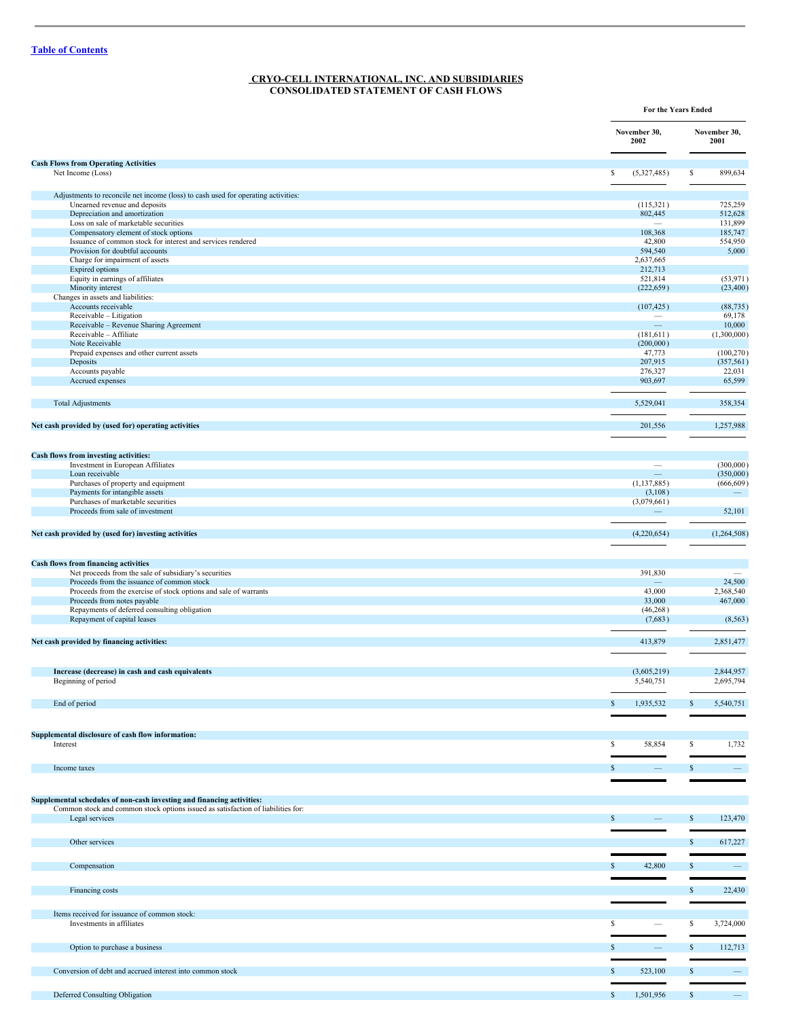#### <span id="page-5-0"></span>**CRYO-CELL INTERNATIONAL, INC. AND SUBSIDIARIES CONSOLIDATED STATEMENT OF CASH FLOWS**

|                                                                                   |                            | For the Years Ended             |
|-----------------------------------------------------------------------------------|----------------------------|---------------------------------|
|                                                                                   | November 30,<br>2002       | November 30,<br>2001            |
| <b>Cash Flows from Operating Activities</b>                                       |                            |                                 |
| Net Income (Loss)                                                                 | (5,327,485)<br>\$          | S<br>899,634                    |
| Adjustments to reconcile net income (loss) to cash used for operating activities: |                            |                                 |
| Unearned revenue and deposits                                                     | (115,321)                  | 725,259                         |
| Depreciation and amortization                                                     | 802,445                    | 512,628                         |
| Loss on sale of marketable securities<br>Compensatory element of stock options    | 108,368                    | 131,899<br>185,747              |
| Issuance of common stock for interest and services rendered                       | 42,800                     | 554,950                         |
| Provision for doubtful accounts                                                   | 594,540                    | 5,000                           |
| Charge for impairment of assets                                                   | 2,637,665                  |                                 |
| Expired options                                                                   | 212,713                    |                                 |
| Equity in earnings of affiliates                                                  | 521,814                    | (53, 971)                       |
| Minority interest                                                                 | (222, 659)                 | (23, 400)                       |
| Changes in assets and liabilities:<br>Accounts receivable                         | (107, 425)                 | (88, 735)                       |
| Receivable - Litigation                                                           |                            | 69,178                          |
| Receivable - Revenue Sharing Agreement                                            |                            | 10,000                          |
| Receivable - Affiliate                                                            | (181, 611)                 | (1,300,000)                     |
| Note Receivable                                                                   | (200,000)                  |                                 |
| Prepaid expenses and other current assets                                         | 47,773                     | (100, 270)                      |
| Deposits                                                                          | 207,915                    | (357, 561)                      |
| Accounts payable                                                                  | 276,327                    | 22,031                          |
| Accrued expenses                                                                  | 903,697                    | 65,599                          |
| <b>Total Adjustments</b>                                                          | 5,529,041                  | 358,354                         |
|                                                                                   |                            |                                 |
| Net cash provided by (used for) operating activities                              | 201,556                    | 1,257,988                       |
|                                                                                   |                            |                                 |
| Cash flows from investing activities:                                             |                            |                                 |
| Investment in European Affiliates                                                 |                            | (300,000)                       |
| Loan receivable                                                                   |                            | (350,000)                       |
| Purchases of property and equipment                                               | (1, 137, 885)              | (666, 609)                      |
| Payments for intangible assets                                                    | (3, 108)                   |                                 |
| Purchases of marketable securities                                                | (3,079,661)                |                                 |
| Proceeds from sale of investment                                                  |                            | 52,101                          |
| Net cash provided by (used for) investing activities                              | (4,220,654)                | (1,264,508)                     |
| <b>Cash flows from financing activities</b>                                       |                            |                                 |
| Net proceeds from the sale of subsidiary's securities                             | 391,830                    |                                 |
| Proceeds from the issuance of common stock                                        |                            | 24,500                          |
| Proceeds from the exercise of stock options and sale of warrants                  | 43,000                     | 2,368,540                       |
| Proceeds from notes payable                                                       | 33,000                     | 467,000                         |
| Repayments of deferred consulting obligation                                      | (46, 268)                  |                                 |
| Repayment of capital leases                                                       | (7,683)                    | (8, 563)                        |
| Net cash provided by financing activities:                                        | 413,879                    | 2,851,477                       |
|                                                                                   |                            |                                 |
| Increase (decrease) in cash and cash equivalents                                  | (3,605,219)                | 2,844,957                       |
| Beginning of period                                                               | 5,540,751                  | 2,695,794                       |
| End of period                                                                     | $\mathcal{S}$<br>1,935,532 | $\mathcal{S}$<br>5,540,751      |
|                                                                                   |                            |                                 |
|                                                                                   |                            |                                 |
| Supplemental disclosure of cash flow information:<br>Interest                     | S<br>58,854                | 1,732<br>S                      |
|                                                                                   |                            |                                 |
| Income taxes                                                                      | $\mathbb{S}$               | S<br>$\qquad \qquad -$          |
|                                                                                   |                            |                                 |
| Supplemental schedules of non-cash investing and financing activities:            |                            |                                 |
| Common stock and common stock options issued as satisfaction of liabilities for:  |                            |                                 |
| Legal services                                                                    | <b>S</b>                   | 123,470<br>$\mathbb{S}$         |
|                                                                                   |                            |                                 |
| Other services                                                                    |                            | S<br>617,227                    |
| Compensation                                                                      | 42,800<br><b>S</b>         | S<br>$\qquad \qquad -$          |
|                                                                                   |                            |                                 |
| Financing costs                                                                   |                            | $\mathbb{S}$<br>22,430          |
| Items received for issuance of common stock:                                      |                            |                                 |
| Investments in affiliates                                                         | s                          | \$<br>3,724,000                 |
|                                                                                   |                            |                                 |
| Option to purchase a business                                                     | <b>S</b>                   | 112,713<br>S                    |
| Conversion of debt and accrued interest into common stock                         | 523,100<br>S               | S<br>$\qquad \qquad -$          |
|                                                                                   |                            |                                 |
| Deferred Consulting Obligation                                                    | 1,501,956<br>S             | \$.<br>$\overline{\phantom{m}}$ |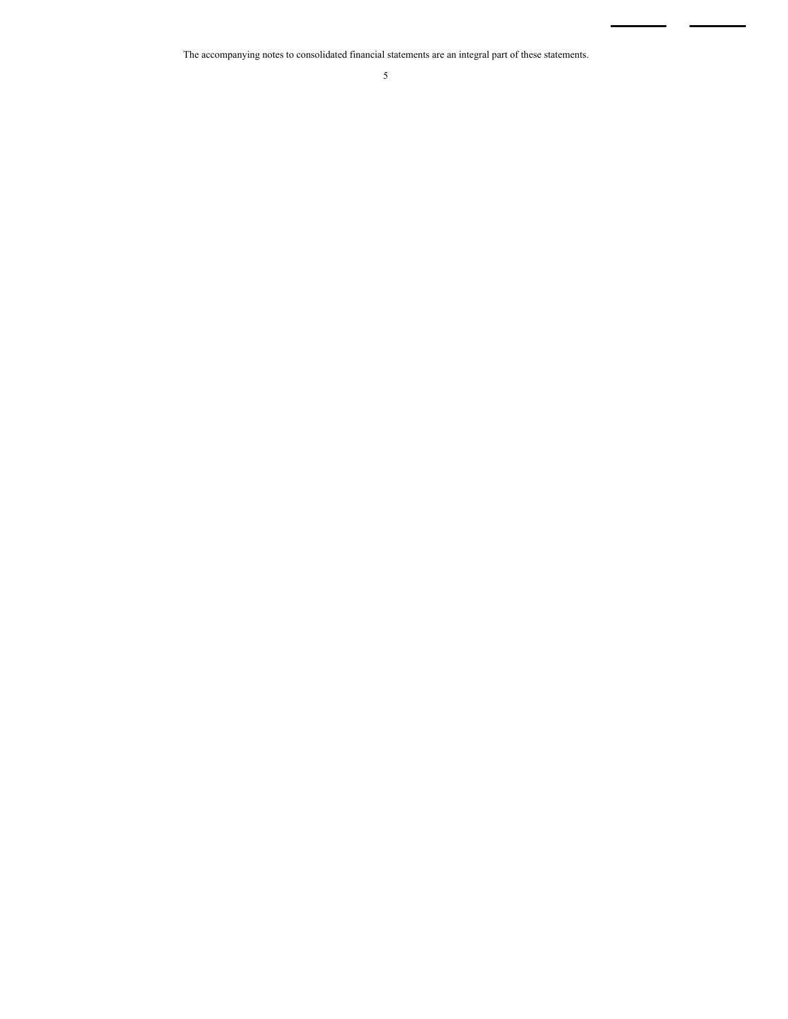The accompanying notes to consolidated financial statements are an integral part of these statements.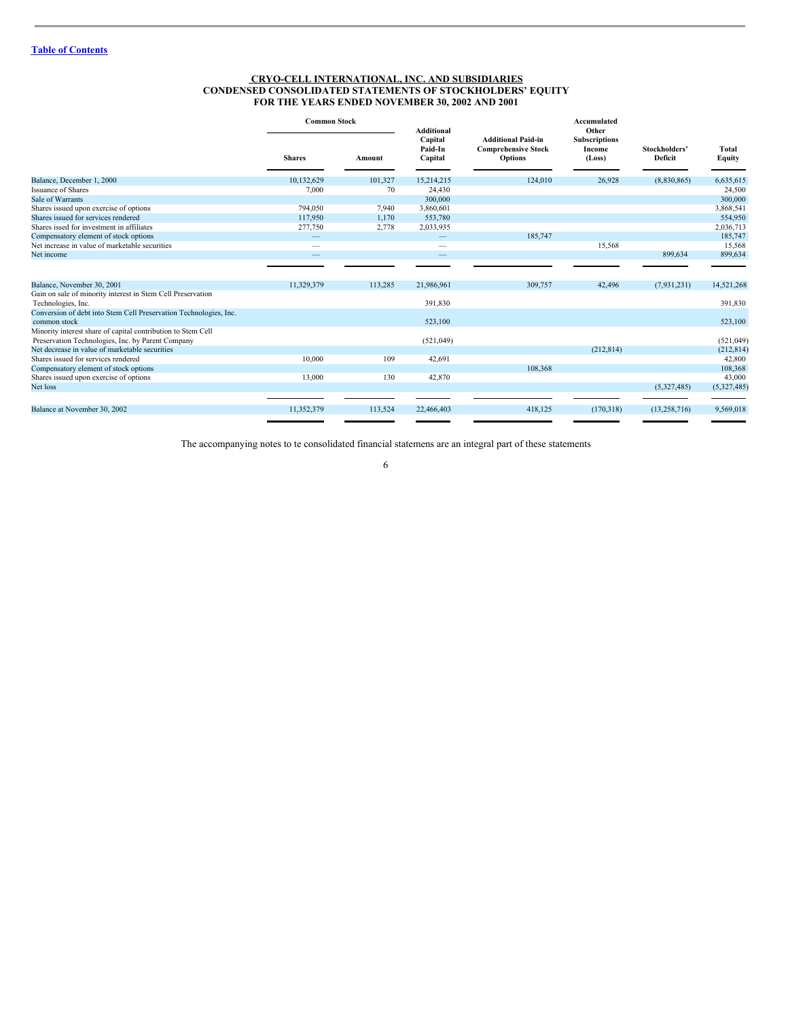#### <span id="page-7-0"></span>**CRYO-CELL INTERNATIONAL, INC. AND SUBSIDIARIES CONDENSED CONSOLIDATED STATEMENTS OF STOCKHOLDERS' EQUITY FOR THE YEARS ENDED NOVEMBER 30, 2002 AND 2001**

|                                                                                   | <b>Common Stock</b> |         | <b>Additional</b>             |                                                                           | Accumulated<br>Other                     |                          |                        |
|-----------------------------------------------------------------------------------|---------------------|---------|-------------------------------|---------------------------------------------------------------------------|------------------------------------------|--------------------------|------------------------|
|                                                                                   | <b>Shares</b>       | Amount  | Capital<br>Paid-In<br>Capital | <b>Additional Paid-in</b><br><b>Comprehensive Stock</b><br><b>Options</b> | <b>Subscriptions</b><br>Income<br>(Loss) | Stockholders'<br>Deficit | Total<br><b>Equity</b> |
| Balance, December 1, 2000                                                         | 10,132,629          | 101,327 | 15,214,215                    | 124,010                                                                   | 26,928                                   | (8,830,865)              | 6,635,615              |
| <b>Issuance of Shares</b>                                                         | 7,000               | 70      | 24,430                        |                                                                           |                                          |                          | 24,500                 |
| Sale of Warrants                                                                  |                     |         | 300,000                       |                                                                           |                                          |                          | 300,000                |
| Shares issued upon exercise of options                                            | 794,050             | 7,940   | 3,860,601                     |                                                                           |                                          |                          | 3,868,541              |
| Shares issued for services rendered                                               | 117,950             | 1,170   | 553,780                       |                                                                           |                                          |                          | 554,950                |
| Shares issed for investment in affiliates                                         | 277,750             | 2,778   | 2,033,935                     |                                                                           |                                          |                          | 2,036,713              |
| Compensatory element of stock options                                             |                     |         |                               | 185,747                                                                   |                                          |                          | 185,747                |
| Net increase in value of marketable securities                                    |                     |         |                               |                                                                           | 15,568                                   |                          | 15,568                 |
| Net income                                                                        |                     |         |                               |                                                                           |                                          | 899,634                  | 899,634                |
|                                                                                   |                     |         |                               |                                                                           |                                          |                          |                        |
| Balance, November 30, 2001                                                        | 11,329,379          | 113,285 | 21,986,961                    | 309,757                                                                   | 42,496                                   | (7,931,231)              | 14,521,268             |
| Gain on sale of minority interest in Stem Cell Preservation<br>Technologies, Inc. |                     |         | 391,830                       |                                                                           |                                          |                          | 391,830                |
| Conversion of debt into Stem Cell Preservation Technologies, Inc.                 |                     |         |                               |                                                                           |                                          |                          |                        |
| common stock                                                                      |                     |         | 523,100                       |                                                                           |                                          |                          | 523,100                |
| Minority interest share of capital contribution to Stem Cell                      |                     |         |                               |                                                                           |                                          |                          |                        |
| Preservation Technologies, Inc. by Parent Company                                 |                     |         | (521, 049)                    |                                                                           |                                          |                          | (521,049)              |
| Net decrease in value of marketable securities                                    |                     |         |                               |                                                                           | (212, 814)                               |                          | (212, 814)             |
| Shares issued for services rendered                                               | 10,000              | 109     | 42,691                        |                                                                           |                                          |                          | 42,800                 |
| Compensatory element of stock options                                             |                     |         |                               | 108,368                                                                   |                                          |                          | 108,368                |
| Shares issued upon exercise of options                                            | 13,000              | 130     | 42,870                        |                                                                           |                                          |                          | 43,000                 |
| Net loss                                                                          |                     |         |                               |                                                                           |                                          | (5,327,485)              | (5,327,485)            |
| Balance at November 30, 2002                                                      | 11,352,379          | 113,524 | 22,466,403                    | 418,125                                                                   | (170, 318)                               | (13, 258, 716)           | 9,569,018              |
|                                                                                   |                     |         |                               |                                                                           |                                          |                          |                        |

The accompanying notes to te consolidated financial statemens are an integral part of these statements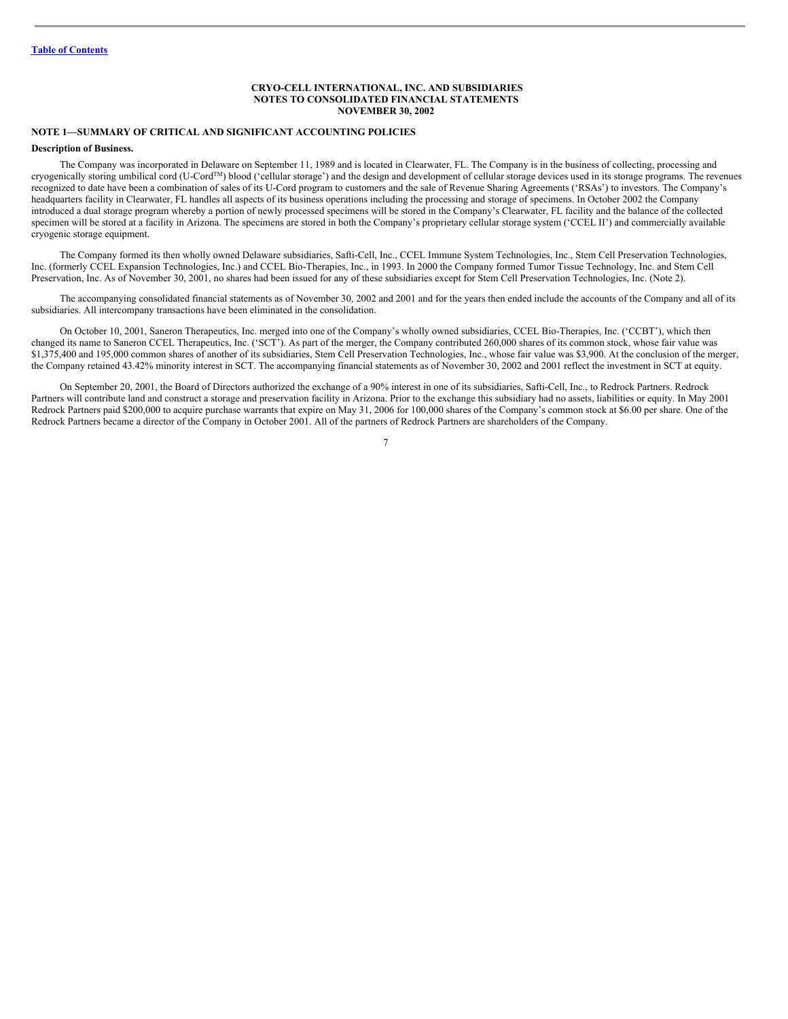#### <span id="page-8-0"></span>**CRYO-CELL INTERNATIONAL, INC. AND SUBSIDIARIES NOTES TO CONSOLIDATED FINANCIAL STATEMENTS NOVEMBER 30, 2002**

## **NOTE 1—SUMMARY OF CRITICAL AND SIGNIFICANT ACCOUNTING POLICIES**

#### **Description of Business.**

The Company was incorporated in Delaware on September 11, 1989 and is located in Clearwater, FL. The Company is in the business of collecting, processing and cryogenically storing umbilical cord (U-Cord<sup>TM</sup>) blood ('cellular storage') and the design and development of cellular storage devices used in its storage programs. The revenues recognized to date have been a combination of sales of its U-Cord program to customers and the sale of Revenue Sharing Agreements ('RSAs') to investors. The Company's headquarters facility in Clearwater, FL handles all aspects of its business operations including the processing and storage of specimens. In October 2002 the Company introduced a dual storage program whereby a portion of newly processed specimens will be stored in the Company's Clearwater, FL facility and the balance of the collected specimen will be stored at a facility in Arizona. The specimens are stored in both the Company's proprietary cellular storage system ('CCEL II') and commercially available cryogenic storage equipment.

The Company formed its then wholly owned Delaware subsidiaries, Safti-Cell, Inc., CCEL Immune System Technologies, Inc., Stem Cell Preservation Technologies, Inc. (formerly CCEL Expansion Technologies, Inc.) and CCEL Bio-Therapies, Inc., in 1993. In 2000 the Company formed Tumor Tissue Technology, Inc. and Stem Cell Preservation, Inc. As of November 30, 2001, no shares had been issued for any of these subsidiaries except for Stem Cell Preservation Technologies, Inc. (Note 2).

The accompanying consolidated financial statements as of November 30, 2002 and 2001 and for the years then ended include the accounts of the Company and all of its subsidiaries. All intercompany transactions have been eliminated in the consolidation.

On October 10, 2001, Saneron Therapeutics, Inc. merged into one of the Company's wholly owned subsidiaries, CCEL Bio-Therapies, Inc. ('CCBT'), which then changed its name to Saneron CCEL Therapeutics, Inc. ('SCT'). As part of the merger, the Company contributed 260,000 shares of its common stock, whose fair value was \$1,375,400 and 195,000 common shares of another of its subsidiaries, Stem Cell Preservation Technologies, Inc., whose fair value was \$3,900. At the conclusion of the merger, the Company retained 43.42% minority interest in SCT. The accompanying financial statements as of November 30, 2002 and 2001 reflect the investment in SCT at equity.

On September 20, 2001, the Board of Directors authorized the exchange of a 90% interest in one of its subsidiaries, Safti-Cell, Inc., to Redrock Partners. Redrock Partners will contribute land and construct a storage and preservation facility in Arizona. Prior to the exchange this subsidiary had no assets, liabilities or equity. In May 2001 Redrock Partners paid \$200,000 to acquire purchase warrants that expire on May 31, 2006 for 100,000 shares of the Company's common stock at \$6.00 per share. One of the Redrock Partners became a director of the Company in October 2001. All of the partners of Redrock Partners are shareholders of the Company.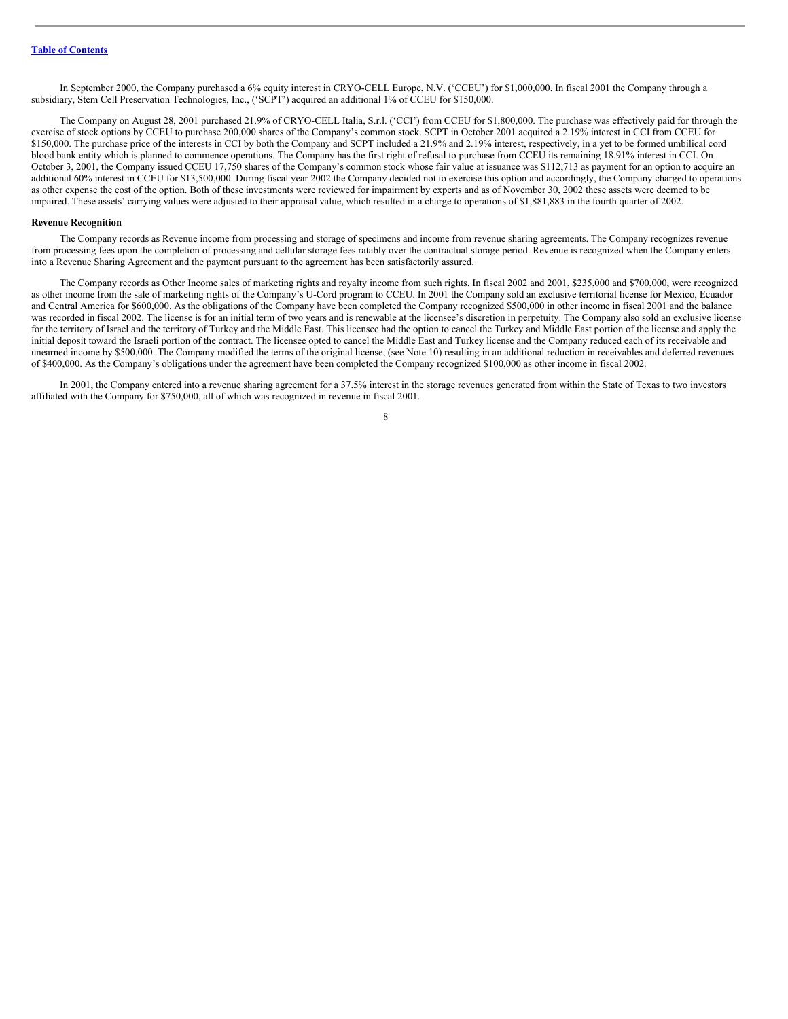In September 2000, the Company purchased a 6% equity interest in CRYO-CELL Europe, N.V. ('CCEU') for \$1,000,000. In fiscal 2001 the Company through a subsidiary, Stem Cell Preservation Technologies, Inc., ('SCPT') acquired an additional 1% of CCEU for \$150,000.

The Company on August 28, 2001 purchased 21.9% of CRYO-CELL Italia, S.r.l. ('CCI') from CCEU for \$1,800,000. The purchase was effectively paid for through the exercise of stock options by CCEU to purchase 200,000 shares of the Company's common stock. SCPT in October 2001 acquired a 2.19% interest in CCI from CCEU for \$150,000. The purchase price of the interests in CCI by both the Company and SCPT included a 21.9% and 2.19% interest, respectively, in a yet to be formed umbilical cord blood bank entity which is planned to commence operations. The Company has the first right of refusal to purchase from CCEU its remaining 18.91% interest in CCI. On October 3, 2001, the Company issued CCEU 17,750 shares of the Company's common stock whose fair value at issuance was \$112,713 as payment for an option to acquire an additional 60% interest in CCEU for \$13,500,000. During fiscal year 2002 the Company decided not to exercise this option and accordingly, the Company charged to operations as other expense the cost of the option. Both of these investments were reviewed for impairment by experts and as of November 30, 2002 these assets were deemed to be impaired. These assets' carrying values were adjusted to their appraisal value, which resulted in a charge to operations of \$1,881,883 in the fourth quarter of 2002.

#### **Revenue Recognition**

The Company records as Revenue income from processing and storage of specimens and income from revenue sharing agreements. The Company recognizes revenue from processing fees upon the completion of processing and cellular storage fees ratably over the contractual storage period. Revenue is recognized when the Company enters into a Revenue Sharing Agreement and the payment pursuant to the agreement has been satisfactorily assured.

The Company records as Other Income sales of marketing rights and royalty income from such rights. In fiscal 2002 and 2001, \$235,000 and \$700,000, were recognized as other income from the sale of marketing rights of the Company's U-Cord program to CCEU. In 2001 the Company sold an exclusive territorial license for Mexico, Ecuador and Central America for \$600,000. As the obligations of the Company have been completed the Company recognized \$500,000 in other income in fiscal 2001 and the balance was recorded in fiscal 2002. The license is for an initial term of two years and is renewable at the licensee's discretion in perpetuity. The Company also sold an exclusive license for the territory of Israel and the territory of Turkey and the Middle East. This licensee had the option to cancel the Turkey and Middle East portion of the license and apply the initial deposit toward the Israeli portion of the contract. The licensee opted to cancel the Middle East and Turkey license and the Company reduced each of its receivable and unearned income by \$500,000. The Company modified the terms of the original license, (see Note 10) resulting in an additional reduction in receivables and deferred revenues of \$400,000. As the Company's obligations under the agreement have been completed the Company recognized \$100,000 as other income in fiscal 2002.

In 2001, the Company entered into a revenue sharing agreement for a 37.5% interest in the storage revenues generated from within the State of Texas to two investors affiliated with the Company for \$750,000, all of which was recognized in revenue in fiscal 2001.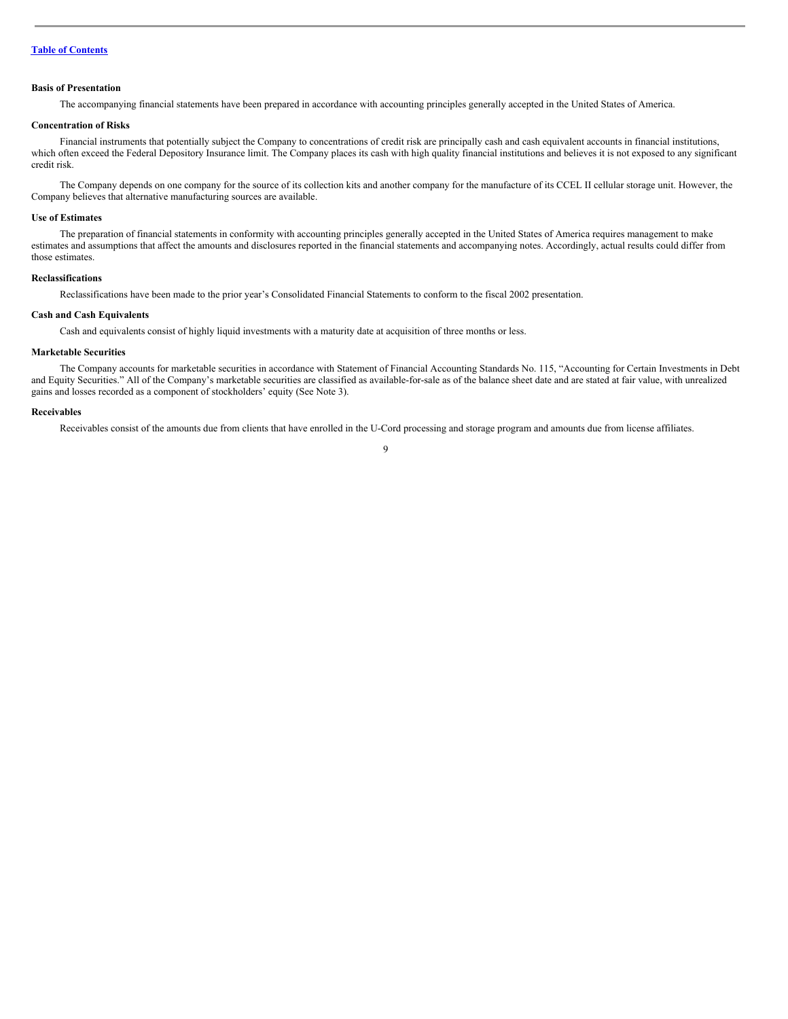#### **Basis of Presentation**

The accompanying financial statements have been prepared in accordance with accounting principles generally accepted in the United States of America.

#### **Concentration of Risks**

Financial instruments that potentially subject the Company to concentrations of credit risk are principally cash and cash equivalent accounts in financial institutions, which often exceed the Federal Depository Insurance limit. The Company places its cash with high quality financial institutions and believes it is not exposed to any significant credit risk.

The Company depends on one company for the source of its collection kits and another company for the manufacture of its CCEL II cellular storage unit. However, the Company believes that alternative manufacturing sources are available.

#### **Use of Estimates**

The preparation of financial statements in conformity with accounting principles generally accepted in the United States of America requires management to make estimates and assumptions that affect the amounts and disclosures reported in the financial statements and accompanying notes. Accordingly, actual results could differ from those estimates.

## **Reclassifications**

Reclassifications have been made to the prior year's Consolidated Financial Statements to conform to the fiscal 2002 presentation.

#### **Cash and Cash Equivalents**

Cash and equivalents consist of highly liquid investments with a maturity date at acquisition of three months or less.

## **Marketable Securities**

The Company accounts for marketable securities in accordance with Statement of Financial Accounting Standards No. 115, "Accounting for Certain Investments in Debt and Equity Securities." All of the Company's marketable securities are classified as available-for-sale as of the balance sheet date and are stated at fair value, with unrealized gains and losses recorded as a component of stockholders' equity (See Note 3).

#### **Receivables**

Receivables consist of the amounts due from clients that have enrolled in the U-Cord processing and storage program and amounts due from license affiliates.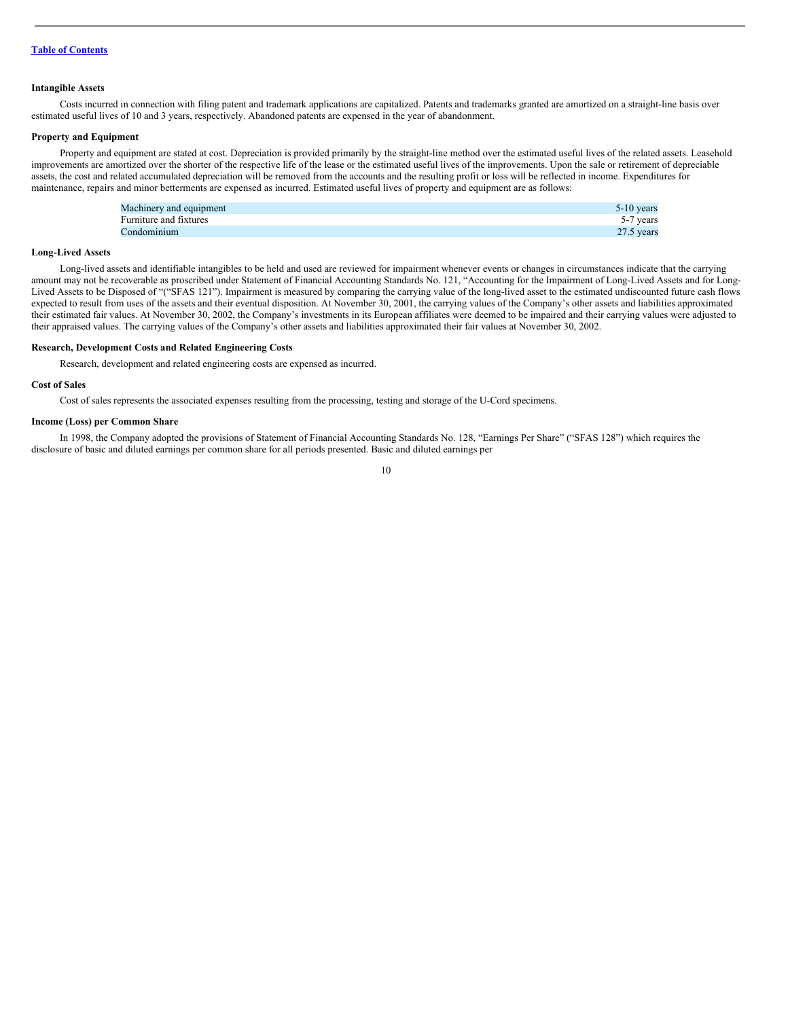#### **Intangible Assets**

Costs incurred in connection with filing patent and trademark applications are capitalized. Patents and trademarks granted are amortized on a straight-line basis over estimated useful lives of 10 and 3 years, respectively. Abandoned patents are expensed in the year of abandonment.

#### **Property and Equipment**

Property and equipment are stated at cost. Depreciation is provided primarily by the straight-line method over the estimated useful lives of the related assets. Leasehold improvements are amortized over the shorter of the respective life of the lease or the estimated useful lives of the improvements. Upon the sale or retirement of depreciable assets, the cost and related accumulated depreciation will be removed from the accounts and the resulting profit or loss will be reflected in income. Expenditures for maintenance, repairs and minor betterments are expensed as incurred. Estimated useful lives of property and equipment are as follows:

| Machinery and equipment | $5-10$ vears |
|-------------------------|--------------|
| Furniture and fixtures  | 5-7 years    |
| Condominium             | $27.5$ years |

#### **Long-Lived Assets**

Long-lived assets and identifiable intangibles to be held and used are reviewed for impairment whenever events or changes in circumstances indicate that the carrying amount may not be recoverable as proscribed under Statement of Financial Accounting Standards No. 121, "Accounting for the Impairment of Long-Lived Assets and for Long-Lived Assets to be Disposed of "("SFAS 121"). Impairment is measured by comparing the carrying value of the long-lived asset to the estimated undiscounted future cash flows expected to result from uses of the assets and their eventual disposition. At November 30, 2001, the carrying values of the Company's other assets and liabilities approximated their estimated fair values. At November 30, 2002, the Company's investments in its European affiliates were deemed to be impaired and their carrying values were adjusted to their appraised values. The carrying values of the Company's other assets and liabilities approximated their fair values at November 30, 2002.

#### **Research, Development Costs and Related Engineering Costs**

Research, development and related engineering costs are expensed as incurred.

## **Cost of Sales**

Cost of sales represents the associated expenses resulting from the processing, testing and storage of the U-Cord specimens.

#### **Income (Loss) per Common Share**

In 1998, the Company adopted the provisions of Statement of Financial Accounting Standards No. 128, "Earnings Per Share" ("SFAS 128") which requires the disclosure of basic and diluted earnings per common share for all periods presented. Basic and diluted earnings per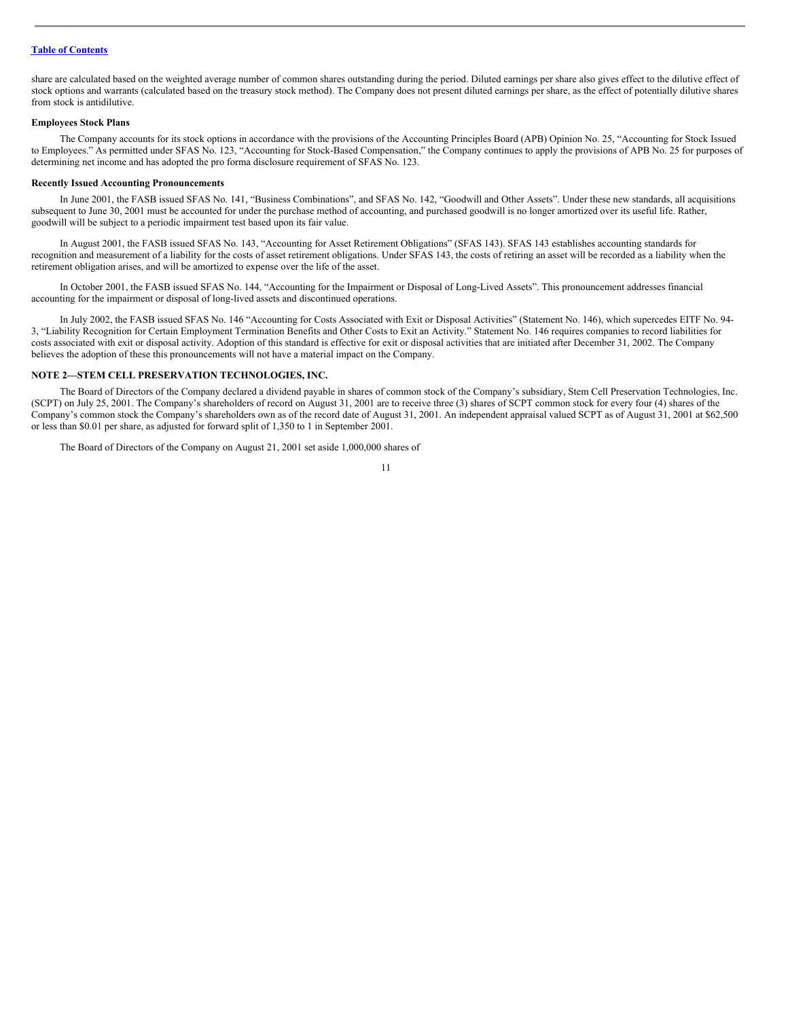## **Table of [Contents](#page-1-0)**

share are calculated based on the weighted average number of common shares outstanding during the period. Diluted earnings per share also gives effect to the dilutive effect of stock options and warrants (calculated based on the treasury stock method). The Company does not present diluted earnings per share, as the effect of potentially dilutive shares from stock is antidilutive.

#### **Employees Stock Plans**

The Company accounts for its stock options in accordance with the provisions of the Accounting Principles Board (APB) Opinion No. 25, "Accounting for Stock Issued to Employees." As permitted under SFAS No. 123, "Accounting for Stock-Based Compensation," the Company continues to apply the provisions of APB No. 25 for purposes of determining net income and has adopted the pro forma disclosure requirement of SFAS No. 123.

## **Recently Issued Accounting Pronouncements**

In June 2001, the FASB issued SFAS No. 141, "Business Combinations", and SFAS No. 142, "Goodwill and Other Assets". Under these new standards, all acquisitions subsequent to June 30, 2001 must be accounted for under the purchase method of accounting, and purchased goodwill is no longer amortized over its useful life. Rather, goodwill will be subject to a periodic impairment test based upon its fair value.

In August 2001, the FASB issued SFAS No. 143, "Accounting for Asset Retirement Obligations" (SFAS 143). SFAS 143 establishes accounting standards for recognition and measurement of a liability for the costs of asset retirement obligations. Under SFAS 143, the costs of retiring an asset will be recorded as a liability when the retirement obligation arises, and will be amortized to expense over the life of the asset.

In October 2001, the FASB issued SFAS No. 144, "Accounting for the Impairment or Disposal of Long-Lived Assets". This pronouncement addresses financial accounting for the impairment or disposal of long-lived assets and discontinued operations.

In July 2002, the FASB issued SFAS No. 146 "Accounting for Costs Associated with Exit or Disposal Activities" (Statement No. 146), which supercedes EITF No. 94- 3, "Liability Recognition for Certain Employment Termination Benefits and Other Costs to Exit an Activity." Statement No. 146 requires companies to record liabilities for costs associated with exit or disposal activity. Adoption of this standard is effective for exit or disposal activities that are initiated after December 31, 2002. The Company believes the adoption of these this pronouncements will not have a material impact on the Company.

## **NOTE 2—STEM CELL PRESERVATION TECHNOLOGIES, INC.**

The Board of Directors of the Company declared a dividend payable in shares of common stock of the Company's subsidiary, Stem Cell Preservation Technologies, Inc. (SCPT) on July 25, 2001. The Company's shareholders of record on August 31, 2001 are to receive three (3) shares of SCPT common stock for every four (4) shares of the Company's common stock the Company's shareholders own as of the record date of August 31, 2001. An independent appraisal valued SCPT as of August 31, 2001 at \$62,500 or less than \$0.01 per share, as adjusted for forward split of 1,350 to 1 in September 2001.

The Board of Directors of the Company on August 21, 2001 set aside 1,000,000 shares of

<sup>11</sup>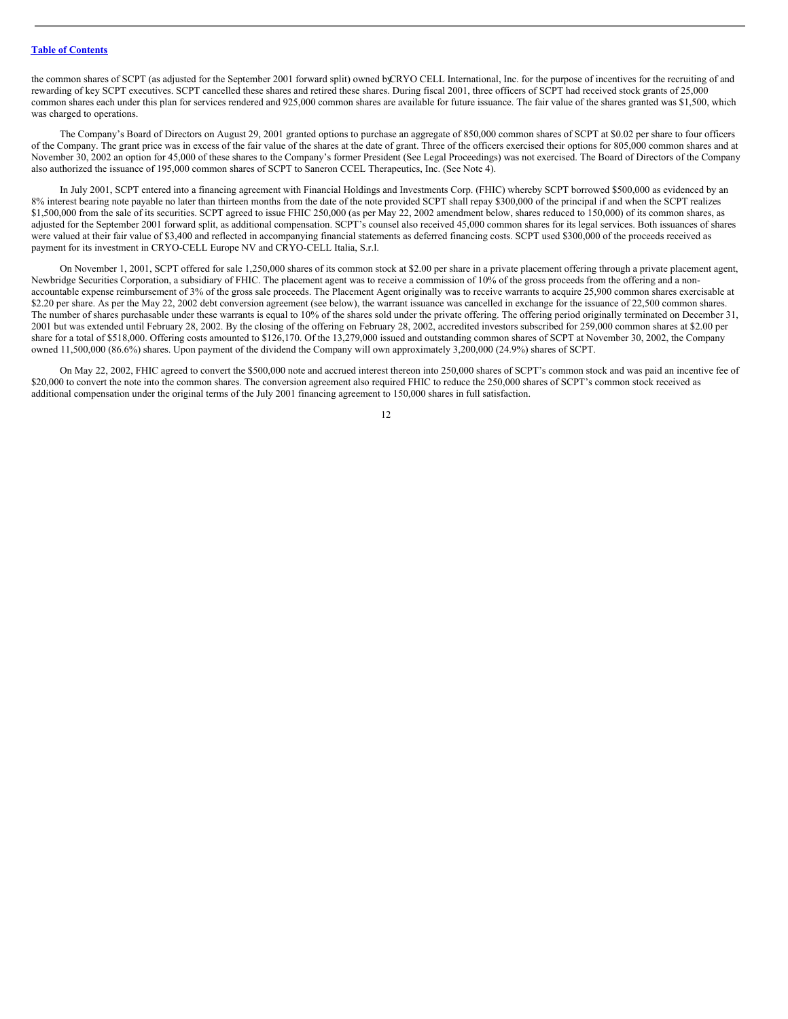## **Table of [Contents](#page-1-0)**

the common shares of SCPT (as adjusted for the September 2001 forward split) owned b CRYO CELL International, Inc. for the purpose of incentives for the recruiting of and rewarding of key SCPT executives. SCPT cancelled these shares and retired these shares. During fiscal 2001, three officers of SCPT had received stock grants of 25,000 common shares each under this plan for services rendered and 925,000 common shares are available for future issuance. The fair value of the shares granted was \$1,500, which was charged to operations.

The Company's Board of Directors on August 29, 2001 granted options to purchase an aggregate of 850,000 common shares of SCPT at \$0.02 per share to four officers of the Company. The grant price was in excess of the fair value of the shares at the date of grant. Three of the officers exercised their options for 805,000 common shares and at November 30, 2002 an option for 45,000 of these shares to the Company's former President (See Legal Proceedings) was not exercised. The Board of Directors of the Company also authorized the issuance of 195,000 common shares of SCPT to Saneron CCEL Therapeutics, Inc. (See Note 4).

In July 2001, SCPT entered into a financing agreement with Financial Holdings and Investments Corp. (FHIC) whereby SCPT borrowed \$500,000 as evidenced by an 8% interest bearing note payable no later than thirteen months from the date of the note provided SCPT shall repay \$300,000 of the principal if and when the SCPT realizes \$1,500,000 from the sale of its securities. SCPT agreed to issue FHIC 250,000 (as per May 22, 2002 amendment below, shares reduced to 150,000) of its common shares, as adjusted for the September 2001 forward split, as additional compensation. SCPT's counsel also received 45,000 common shares for its legal services. Both issuances of shares were valued at their fair value of \$3,400 and reflected in accompanying financial statements as deferred financing costs. SCPT used \$300,000 of the proceeds received as payment for its investment in CRYO-CELL Europe NV and CRYO-CELL Italia, S.r.l.

On November 1, 2001, SCPT offered for sale 1,250,000 shares of its common stock at \$2.00 per share in a private placement offering through a private placement agent, Newbridge Securities Corporation, a subsidiary of FHIC. The placement agent was to receive a commission of 10% of the gross proceeds from the offering and a nonaccountable expense reimbursement of 3% of the gross sale proceeds. The Placement Agent originally was to receive warrants to acquire 25,900 common shares exercisable at \$2.20 per share. As per the May 22, 2002 debt conversion agreement (see below), the warrant issuance was cancelled in exchange for the issuance of 22,500 common shares. The number of shares purchasable under these warrants is equal to 10% of the shares sold under the private offering. The offering period originally terminated on December 31, 2001 but was extended until February 28, 2002. By the closing of the offering on February 28, 2002, accredited investors subscribed for 259,000 common shares at \$2.00 per share for a total of \$518,000. Offering costs amounted to \$126,170. Of the 13,279,000 issued and outstanding common shares of SCPT at November 30, 2002, the Company owned 11,500,000 (86.6%) shares. Upon payment of the dividend the Company will own approximately 3,200,000 (24.9%) shares of SCPT.

On May 22, 2002, FHIC agreed to convert the \$500,000 note and accrued interest thereon into 250,000 shares of SCPT's common stock and was paid an incentive fee of \$20,000 to convert the note into the common shares. The conversion agreement also required FHIC to reduce the 250,000 shares of SCPT's common stock received as additional compensation under the original terms of the July 2001 financing agreement to 150,000 shares in full satisfaction.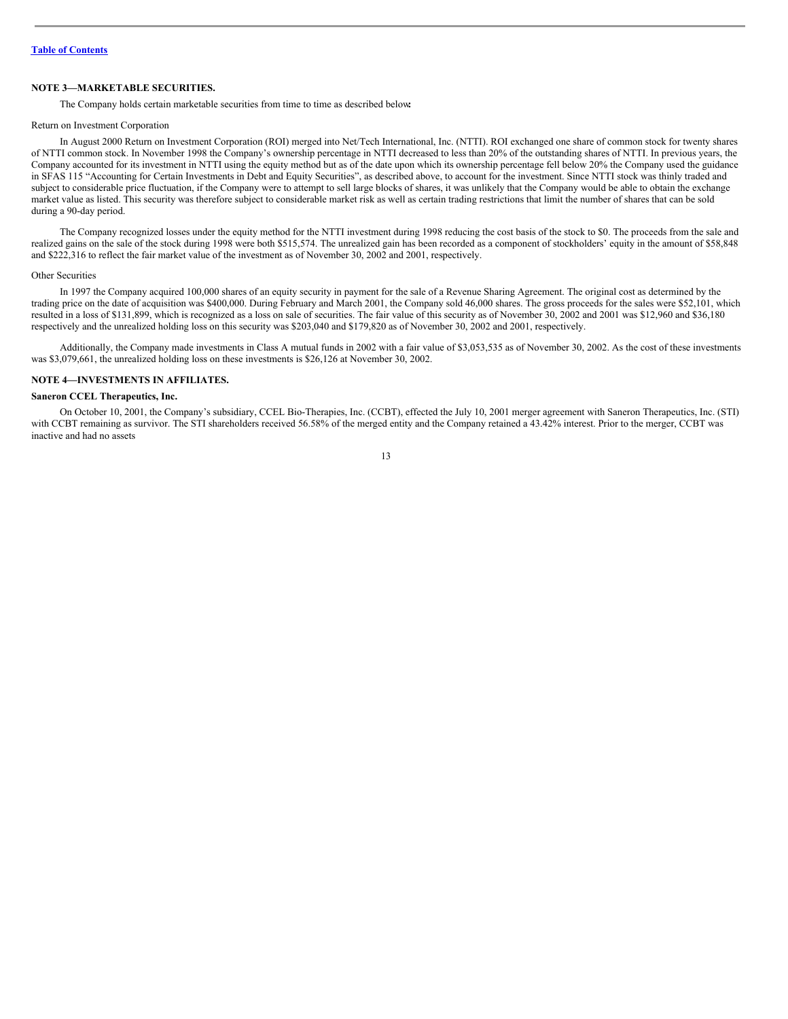#### **NOTE 3—MARKETABLE SECURITIES.**

The Company holds certain marketable securities from time to time as described below**:**

## Return on Investment Corporation

In August 2000 Return on Investment Corporation (ROI) merged into Net/Tech International, Inc. (NTTI). ROI exchanged one share of common stock for twenty shares of NTTI common stock. In November 1998 the Company's ownership percentage in NTTI decreased to less than 20% of the outstanding shares of NTTI. In previous years, the Company accounted for its investment in NTTI using the equity method but as of the date upon which its ownership percentage fell below 20% the Company used the guidance in SFAS 115 "Accounting for Certain Investments in Debt and Equity Securities", as described above, to account for the investment. Since NTTI stock was thinly traded and subject to considerable price fluctuation, if the Company were to attempt to sell large blocks of shares, it was unlikely that the Company would be able to obtain the exchange market value as listed. This security was therefore subject to considerable market risk as well as certain trading restrictions that limit the number of shares that can be sold during a 90-day period.

The Company recognized losses under the equity method for the NTTI investment during 1998 reducing the cost basis of the stock to \$0. The proceeds from the sale and realized gains on the sale of the stock during 1998 were both \$515,574. The unrealized gain has been recorded as a component of stockholders' equity in the amount of \$58,848 and \$222,316 to reflect the fair market value of the investment as of November 30, 2002 and 2001, respectively.

#### Other Securities

In 1997 the Company acquired 100,000 shares of an equity security in payment for the sale of a Revenue Sharing Agreement. The original cost as determined by the trading price on the date of acquisition was \$400,000. During February and March 2001, the Company sold 46,000 shares. The gross proceeds for the sales were \$52,101, which resulted in a loss of \$131,899, which is recognized as a loss on sale of securities. The fair value of this security as of November 30, 2002 and 2001 was \$12,960 and \$36,180 respectively and the unrealized holding loss on this security was \$203,040 and \$179,820 as of November 30, 2002 and 2001, respectively.

Additionally, the Company made investments in Class A mutual funds in 2002 with a fair value of \$3,053,535 as of November 30, 2002. As the cost of these investments was \$3,079,661, the unrealized holding loss on these investments is \$26,126 at November 30, 2002.

## **NOTE 4—INVESTMENTS IN AFFILIATES.**

## **Saneron CCEL Therapeutics, Inc.**

On October 10, 2001, the Company's subsidiary, CCEL Bio-Therapies, Inc. (CCBT), effected the July 10, 2001 merger agreement with Saneron Therapeutics, Inc. (STI) with CCBT remaining as survivor. The STI shareholders received 56.58% of the merged entity and the Company retained a 43.42% interest. Prior to the merger, CCBT was inactive and had no assets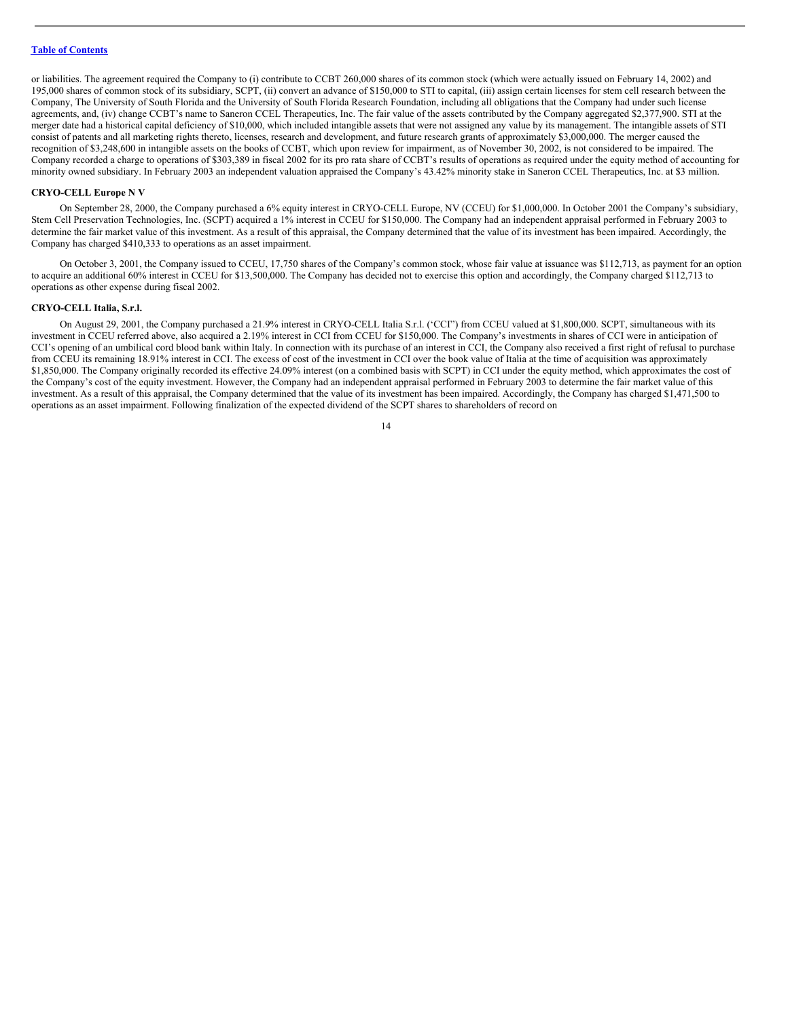or liabilities. The agreement required the Company to (i) contribute to CCBT 260,000 shares of its common stock (which were actually issued on February 14, 2002) and 195,000 shares of common stock of its subsidiary, SCPT, (ii) convert an advance of \$150,000 to STI to capital, (iii) assign certain licenses for stem cell research between the Company, The University of South Florida and the University of South Florida Research Foundation, including all obligations that the Company had under such license agreements, and, (iv) change CCBT's name to Saneron CCEL Therapeutics, Inc. The fair value of the assets contributed by the Company aggregated \$2,377,900. STI at the merger date had a historical capital deficiency of \$10,000, which included intangible assets that were not assigned any value by its management. The intangible assets of STI consist of patents and all marketing rights thereto, licenses, research and development, and future research grants of approximately \$3,000,000. The merger caused the recognition of \$3,248,600 in intangible assets on the books of CCBT, which upon review for impairment, as of November 30, 2002, is not considered to be impaired. The Company recorded a charge to operations of \$303,389 in fiscal 2002 for its pro rata share of CCBT's results of operations as required under the equity method of accounting for minority owned subsidiary. In February 2003 an independent valuation appraised the Company's 43.42% minority stake in Saneron CCEL Therapeutics, Inc. at \$3 million.

#### **CRYO-CELL Europe N V**

On September 28, 2000, the Company purchased a 6% equity interest in CRYO-CELL Europe, NV (CCEU) for \$1,000,000. In October 2001 the Company's subsidiary, Stem Cell Preservation Technologies, Inc. (SCPT) acquired a 1% interest in CCEU for \$150,000. The Company had an independent appraisal performed in February 2003 to determine the fair market value of this investment. As a result of this appraisal, the Company determined that the value of its investment has been impaired. Accordingly, the Company has charged \$410,333 to operations as an asset impairment.

On October 3, 2001, the Company issued to CCEU, 17,750 shares of the Company's common stock, whose fair value at issuance was \$112,713, as payment for an option to acquire an additional 60% interest in CCEU for \$13,500,000. The Company has decided not to exercise this option and accordingly, the Company charged \$112,713 to operations as other expense during fiscal 2002.

#### **CRYO-CELL Italia, S.r.l.**

On August 29, 2001, the Company purchased a 21.9% interest in CRYO-CELL Italia S.r.l. ('CCI") from CCEU valued at \$1,800,000. SCPT, simultaneous with its investment in CCEU referred above, also acquired a 2.19% interest in CCI from CCEU for \$150,000. The Company's investments in shares of CCI were in anticipation of CCI's opening of an umbilical cord blood bank within Italy. In connection with its purchase of an interest in CCI, the Company also received a first right of refusal to purchase from CCEU its remaining 18.91% interest in CCI. The excess of cost of the investment in CCI over the book value of Italia at the time of acquisition was approximately \$1,850,000. The Company originally recorded its effective 24.09% interest (on a combined basis with SCPT) in CCI under the equity method, which approximates the cost of the Company's cost of the equity investment. However, the Company had an independent appraisal performed in February 2003 to determine the fair market value of this investment. As a result of this appraisal, the Company determined that the value of its investment has been impaired. Accordingly, the Company has charged \$1,471,500 to operations as an asset impairment. Following finalization of the expected dividend of the SCPT shares to shareholders of record on

<sup>14</sup>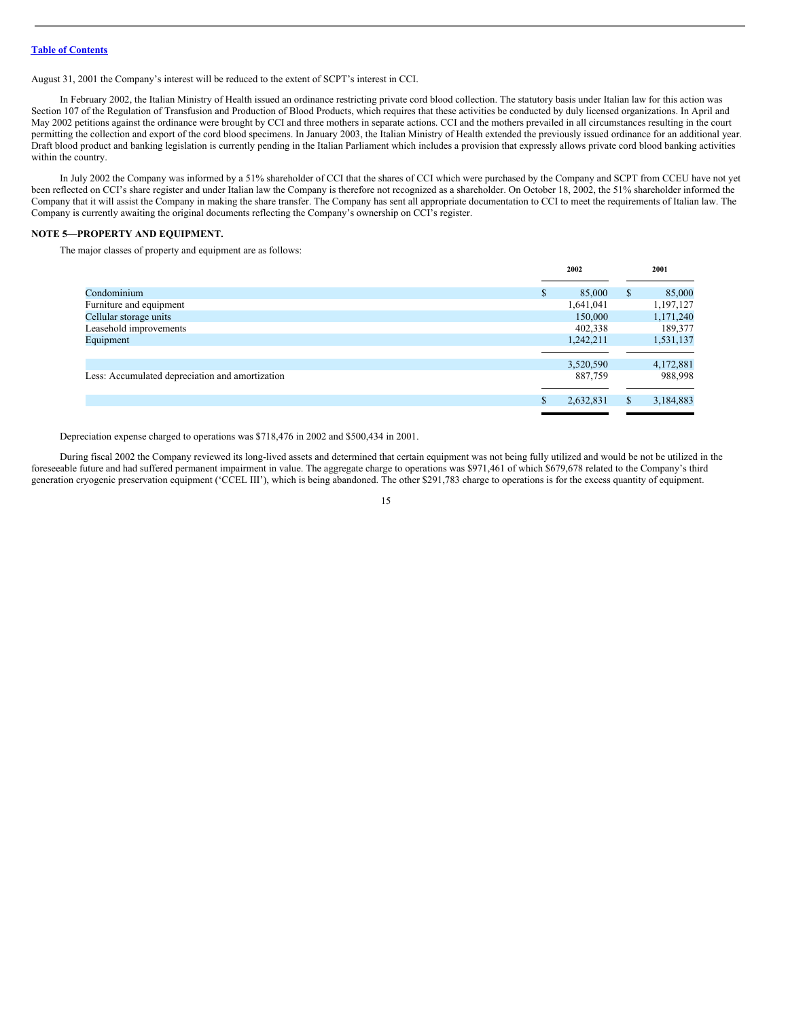August 31, 2001 the Company's interest will be reduced to the extent of SCPT's interest in CCI.

In February 2002, the Italian Ministry of Health issued an ordinance restricting private cord blood collection. The statutory basis under Italian law for this action was Section 107 of the Regulation of Transfusion and Production of Blood Products, which requires that these activities be conducted by duly licensed organizations. In April and May 2002 petitions against the ordinance were brought by CCI and three mothers in separate actions. CCI and the mothers prevailed in all circumstances resulting in the court permitting the collection and export of the cord blood specimens. In January 2003, the Italian Ministry of Health extended the previously issued ordinance for an additional year. Draft blood product and banking legislation is currently pending in the Italian Parliament which includes a provision that expressly allows private cord blood banking activities within the country.

In July 2002 the Company was informed by a 51% shareholder of CCI that the shares of CCI which were purchased by the Company and SCPT from CCEU have not yet been reflected on CCI's share register and under Italian law the Company is therefore not recognized as a shareholder. On October 18, 2002, the 51% shareholder informed the Company that it will assist the Company in making the share transfer. The Company has sent all appropriate documentation to CCI to meet the requirements of Italian law. The Company is currently awaiting the original documents reflecting the Company's ownership on CCI's register.

## **NOTE 5—PROPERTY AND EQUIPMENT.**

The major classes of property and equipment are as follows:

|                                                 | 2002            |               | 2001      |  |
|-------------------------------------------------|-----------------|---------------|-----------|--|
| Condominium                                     | 85,000<br>\$    | \$            | 85,000    |  |
| Furniture and equipment                         | 1,641,041       |               | 1,197,127 |  |
| Cellular storage units                          | 150,000         |               | 1,171,240 |  |
| Leasehold improvements                          | 402,338         |               | 189,377   |  |
| Equipment                                       | 1,242,211       |               | 1,531,137 |  |
|                                                 |                 |               |           |  |
|                                                 | 3,520,590       |               | 4,172,881 |  |
| Less: Accumulated depreciation and amortization | 887,759         |               | 988,998   |  |
|                                                 | 2,632,831<br>\$ | <sup>\$</sup> | 3,184,883 |  |
|                                                 |                 |               |           |  |

Depreciation expense charged to operations was \$718,476 in 2002 and \$500,434 in 2001.

During fiscal 2002 the Company reviewed its long-lived assets and determined that certain equipment was not being fully utilized and would be not be utilized in the foreseeable future and had suffered permanent impairment in value. The aggregate charge to operations was \$971,461 of which \$679,678 related to the Company's third generation cryogenic preservation equipment ('CCEL III'), which is being abandoned. The other \$291,783 charge to operations is for the excess quantity of equipment.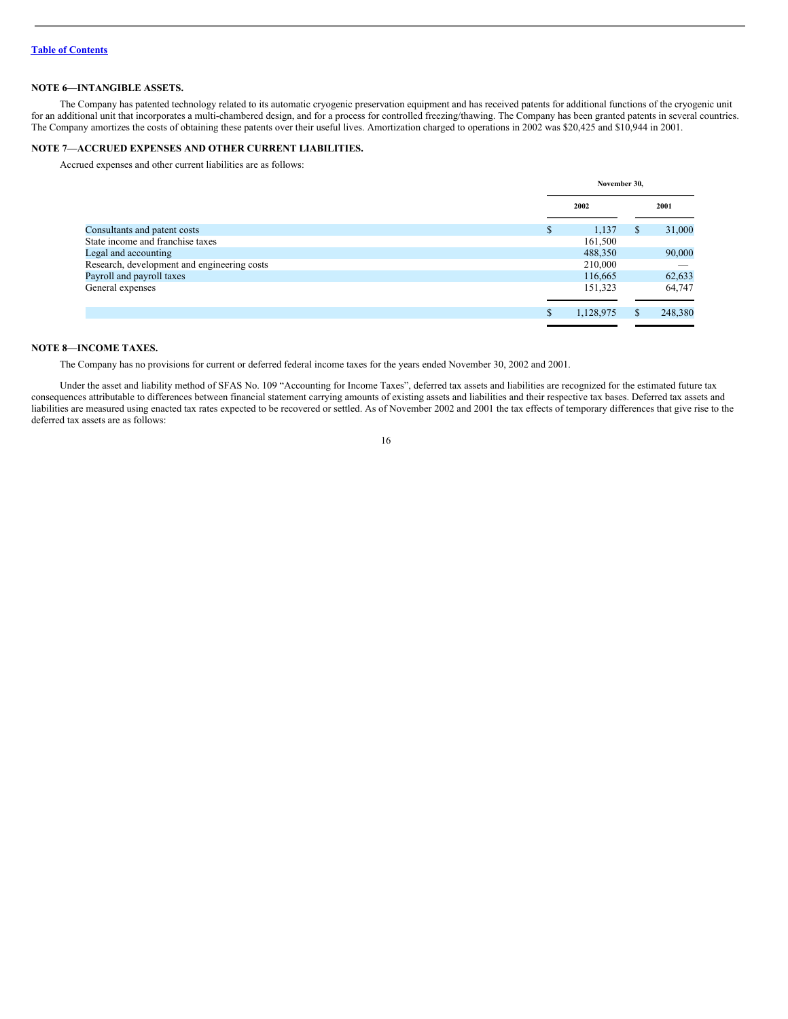#### **NOTE 6—INTANGIBLE ASSETS.**

The Company has patented technology related to its automatic cryogenic preservation equipment and has received patents for additional functions of the cryogenic unit for an additional unit that incorporates a multi-chambered design, and for a process for controlled freezing/thawing. The Company has been granted patents in several countries. The Company amortizes the costs of obtaining these patents over their useful lives. Amortization charged to operations in 2002 was \$20,425 and \$10,944 in 2001.

## **NOTE 7—ACCRUED EXPENSES AND OTHER CURRENT LIABILITIES.**

Accrued expenses and other current liabilities are as follows:

|                                             |               | November 30, |    |         |  |
|---------------------------------------------|---------------|--------------|----|---------|--|
|                                             |               | 2002         |    | 2001    |  |
| Consultants and patent costs                | <sup>\$</sup> | 1,137        | S  | 31,000  |  |
| State income and franchise taxes            |               | 161,500      |    |         |  |
| Legal and accounting                        |               | 488,350      |    | 90,000  |  |
| Research, development and engineering costs |               | 210,000      |    |         |  |
| Payroll and payroll taxes                   |               | 116,665      |    | 62,633  |  |
| General expenses                            |               | 151.323      |    | 64.747  |  |
|                                             | <sup>S</sup>  | 1,128,975    | S. | 248,380 |  |

## **NOTE 8—INCOME TAXES.**

The Company has no provisions for current or deferred federal income taxes for the years ended November 30, 2002 and 2001.

Under the asset and liability method of SFAS No. 109 "Accounting for Income Taxes", deferred tax assets and liabilities are recognized for the estimated future tax consequences attributable to differences between financial statement carrying amounts of existing assets and liabilities and their respective tax bases. Deferred tax assets and liabilities are measured using enacted tax rates expected to be recovered or settled. As of November 2002 and 2001 the tax effects of temporary differences that give rise to the deferred tax assets are as follows: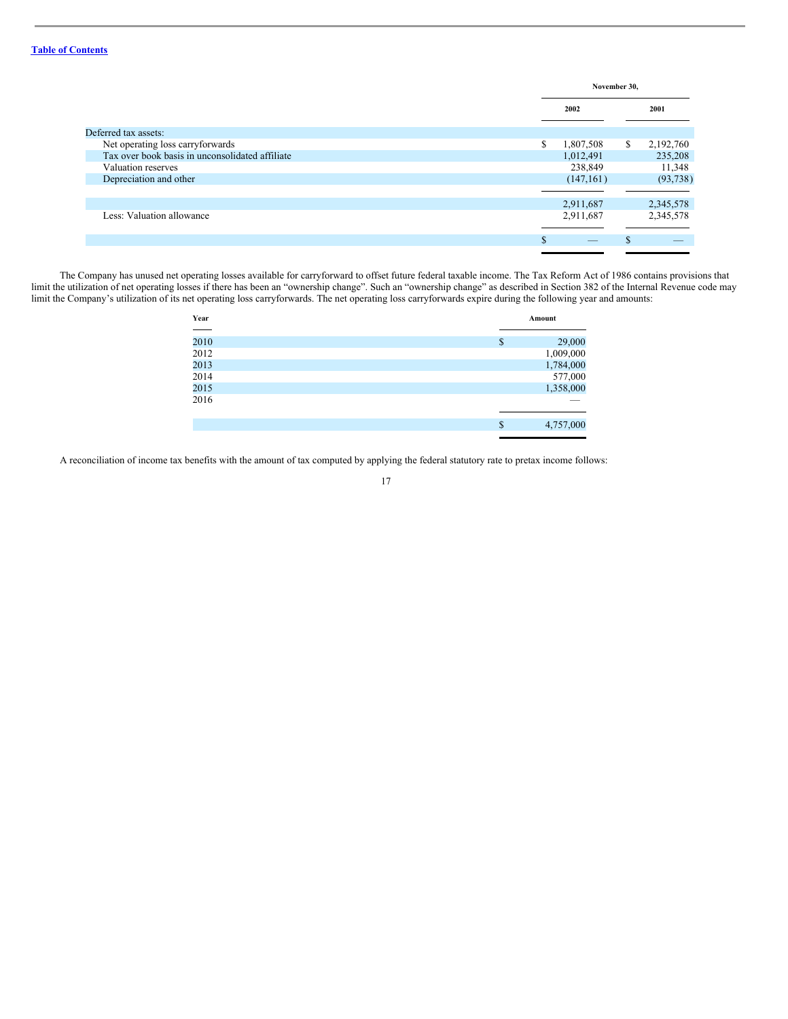|                                                 | November 30,    |    |           |  |
|-------------------------------------------------|-----------------|----|-----------|--|
|                                                 | 2002            |    | 2001      |  |
| Deferred tax assets:                            |                 |    |           |  |
| Net operating loss carryforwards                | \$<br>1,807,508 | \$ | 2,192,760 |  |
| Tax over book basis in unconsolidated affiliate | 1,012,491       |    | 235,208   |  |
| Valuation reserves                              | 238,849         |    | 11,348    |  |
| Depreciation and other                          | (147,161)       |    | (93, 738) |  |
|                                                 |                 |    |           |  |
|                                                 | 2,911,687       |    | 2,345,578 |  |
| Less: Valuation allowance                       | 2,911,687       |    | 2,345,578 |  |
|                                                 |                 |    |           |  |
|                                                 | \$<br>_         | \$ |           |  |
|                                                 |                 |    |           |  |

The Company has unused net operating losses available for carryforward to offset future federal taxable income. The Tax Reform Act of 1986 contains provisions that limit the utilization of net operating losses if there has been an "ownership change". Such an "ownership change" as described in Section 382 of the Internal Revenue code may limit the Company's utilization of its net operating loss carryforwards. The net operating loss carryforwards expire during the following year and amounts:

| Year | Amount          |  |  |
|------|-----------------|--|--|
| —    |                 |  |  |
| 2010 | \$<br>29,000    |  |  |
| 2012 | 1,009,000       |  |  |
| 2013 | 1,784,000       |  |  |
| 2014 | 577,000         |  |  |
| 2015 | 1,358,000       |  |  |
| 2016 | __              |  |  |
|      |                 |  |  |
|      | \$<br>4,757,000 |  |  |
|      |                 |  |  |

A reconciliation of income tax benefits with the amount of tax computed by applying the federal statutory rate to pretax income follows: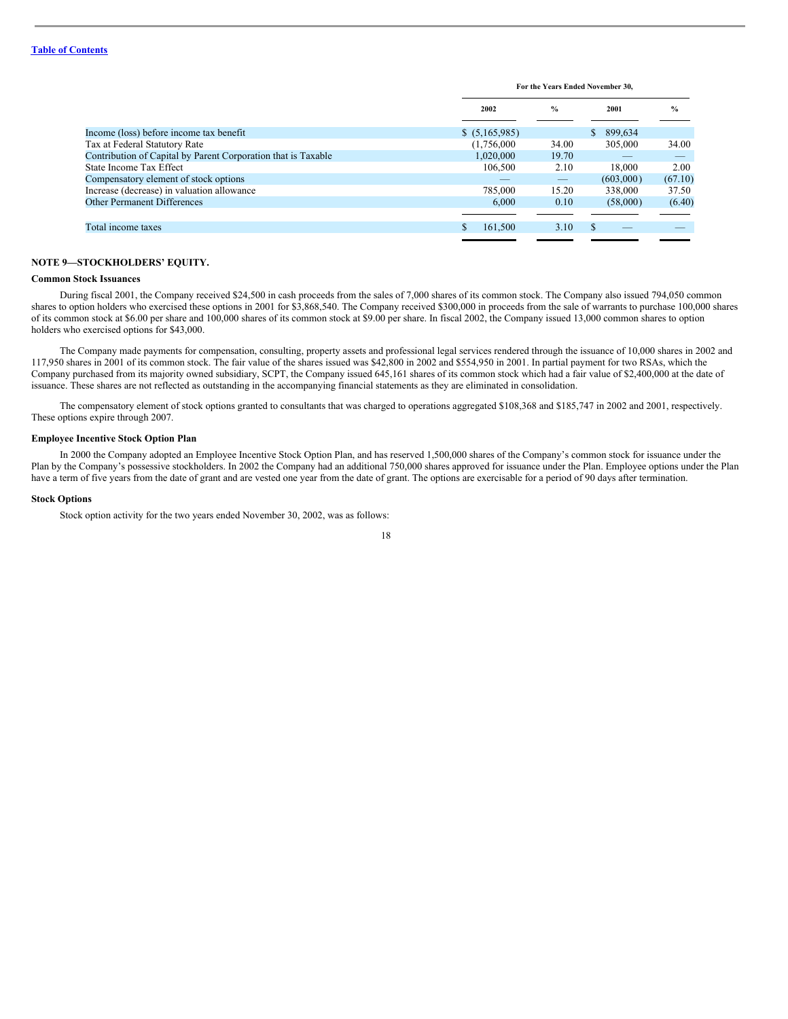## **Table of [Contents](#page-1-0)**

|                                                               |                | For the Years Ended November 30. |               |               |  |
|---------------------------------------------------------------|----------------|----------------------------------|---------------|---------------|--|
|                                                               | 2002           | $\frac{0}{n}$                    | 2001          | $\frac{0}{0}$ |  |
| Income (loss) before income tax benefit                       | \$ (5,165,985) |                                  | 899,634<br>\$ |               |  |
| Tax at Federal Statutory Rate                                 | (1,756,000)    | 34.00                            | 305,000       | 34.00         |  |
| Contribution of Capital by Parent Corporation that is Taxable | 1.020.000      | 19.70                            |               |               |  |
| State Income Tax Effect                                       | 106,500        | 2.10                             | 18,000        | 2.00          |  |
| Compensatory element of stock options                         |                |                                  | (603,000)     | (67.10)       |  |
| Increase (decrease) in valuation allowance                    | 785,000        | 15.20                            | 338,000       | 37.50         |  |
| <b>Other Permanent Differences</b>                            | 6.000          | 0.10                             | (58,000)      | (6.40)        |  |
|                                                               |                |                                  |               |               |  |
| Total income taxes                                            | \$<br>161,500  | 3.10                             | \$.           |               |  |
|                                                               |                |                                  |               |               |  |

## **NOTE 9—STOCKHOLDERS' EQUITY.**

## **Common Stock Issuances**

During fiscal 2001, the Company received \$24,500 in cash proceeds from the sales of 7,000 shares of its common stock. The Company also issued 794,050 common shares to option holders who exercised these options in 2001 for \$3,868,540. The Company received \$300,000 in proceeds from the sale of warrants to purchase 100,000 shares of its common stock at \$6.00 per share and 100,000 shares of its common stock at \$9.00 per share. In fiscal 2002, the Company issued 13,000 common shares to option holders who exercised options for \$43,000.

The Company made payments for compensation, consulting, property assets and professional legal services rendered through the issuance of 10,000 shares in 2002 and 117,950 shares in 2001 of its common stock. The fair value of the shares issued was \$42,800 in 2002 and \$554,950 in 2001. In partial payment for two RSAs, which the Company purchased from its majority owned subsidiary, SCPT, the Company issued 645,161 shares of its common stock which had a fair value of \$2,400,000 at the date of issuance. These shares are not reflected as outstanding in the accompanying financial statements as they are eliminated in consolidation.

The compensatory element of stock options granted to consultants that was charged to operations aggregated \$108,368 and \$185,747 in 2002 and 2001, respectively. These options expire through 2007.

## **Employee Incentive Stock Option Plan**

In 2000 the Company adopted an Employee Incentive Stock Option Plan, and has reserved 1,500,000 shares of the Company's common stock for issuance under the Plan by the Company's possessive stockholders. In 2002 the Company had an additional 750,000 shares approved for issuance under the Plan. Employee options under the Plan have a term of five years from the date of grant and are vested one year from the date of grant. The options are exercisable for a period of 90 days after termination.

#### **Stock Options**

Stock option activity for the two years ended November 30, 2002, was as follows: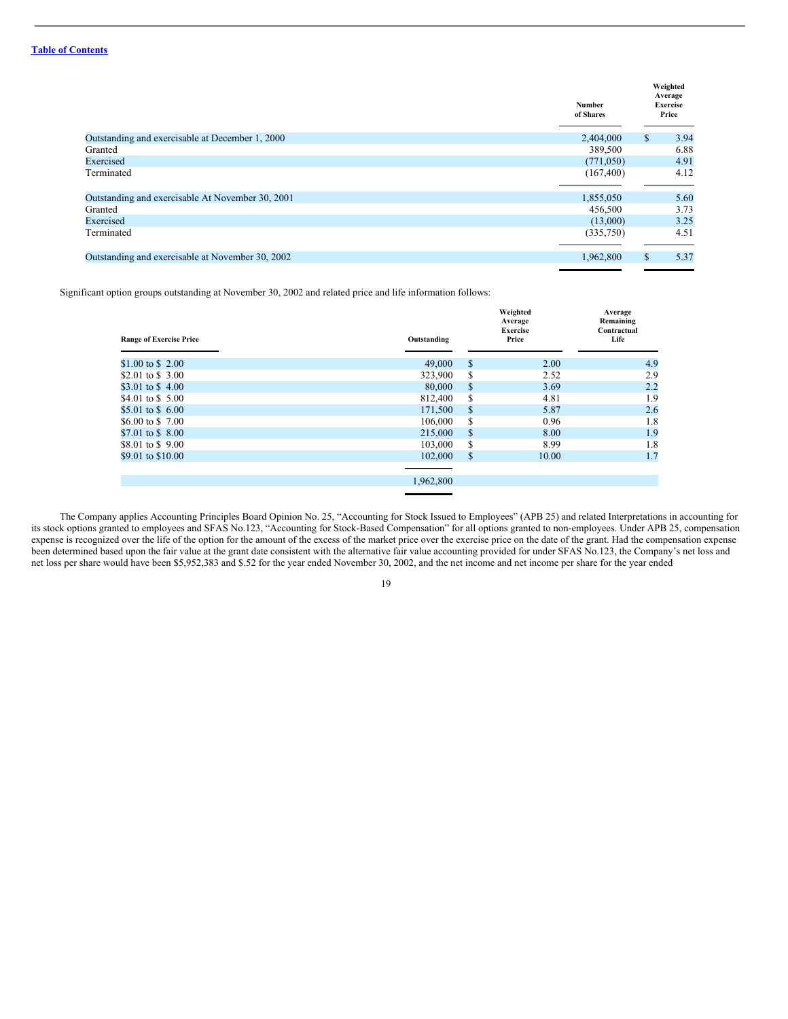|                                                  | Number<br>of Shares | Weighted<br>Average<br><b>Exercise</b><br>Price |      |
|--------------------------------------------------|---------------------|-------------------------------------------------|------|
| Outstanding and exercisable at December 1, 2000  | 2,404,000           | <sup>S</sup>                                    | 3.94 |
| Granted                                          | 389,500             |                                                 | 6.88 |
| Exercised                                        | (771, 050)          |                                                 | 4.91 |
| Terminated                                       | (167, 400)          |                                                 | 4.12 |
| Outstanding and exercisable At November 30, 2001 | 1,855,050           |                                                 | 5.60 |
| Granted                                          | 456,500             |                                                 | 3.73 |
| Exercised                                        | (13,000)            |                                                 | 3.25 |
| Terminated                                       | (335,750)           |                                                 | 4.51 |
| Outstanding and exercisable at November 30, 2002 | 1,962,800           | S                                               | 5.37 |

Significant option groups outstanding at November 30, 2002 and related price and life information follows:

| <b>Range of Exercise Price</b> | Outstanding |    | Weighted<br>Average<br>Exercise<br>Price | Average<br>Remaining<br>Contractual<br>Life |
|--------------------------------|-------------|----|------------------------------------------|---------------------------------------------|
| \$1.00 to \$2.00               | 49,000      | \$ | 2.00                                     | 4.9                                         |
| \$2.01 to \$3.00               | 323,900     | S  | 2.52                                     | 2.9                                         |
| \$3.01 to \$4.00               | 80,000      | \$ | 3.69                                     | 2.2                                         |
| \$4.01 to \$5.00               | 812,400     | \$ | 4.81                                     | 1.9                                         |
| \$5.01 to \$6.00               | 171,500     | \$ | 5.87                                     | 2.6                                         |
| \$6,00 to \$7,00               | 106,000     | \$ | 0.96                                     | 1.8                                         |
| \$7.01 to \$8.00               | 215,000     | \$ | 8.00                                     | 1.9                                         |
| \$8.01 to \$9.00               | 103,000     | \$ | 8.99                                     | 1.8                                         |
| \$9.01 to \$10.00              | 102,000     | \$ | 10.00                                    | 1.7                                         |
|                                |             |    |                                          |                                             |
|                                | 1.962.800   |    |                                          |                                             |

The Company applies Accounting Principles Board Opinion No. 25, "Accounting for Stock Issued to Employees" (APB 25) and related Interpretations in accounting for its stock options granted to employees and SFAS No.123, "Accounting for Stock-Based Compensation" for all options granted to non-employees. Under APB 25, compensation expense is recognized over the life of the option for the amount of the excess of the market price over the exercise price on the date of the grant. Had the compensation expense been determined based upon the fair value at the grant date consistent with the alternative fair value accounting provided for under SFAS No.123, the Company's net loss and net loss per share would have been \$5,952,383 and \$.52 for the year ended November 30, 2002, and the net income and net income per share for the year ended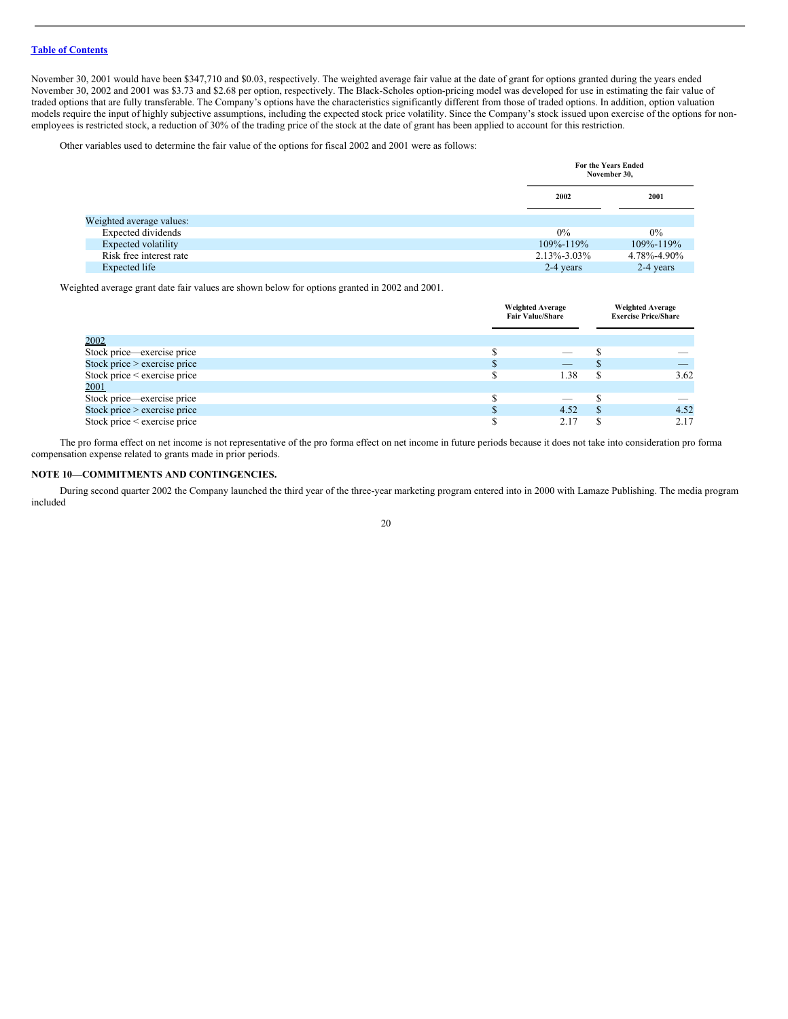## **Table of [Contents](#page-1-0)**

November 30, 2001 would have been \$347,710 and \$0.03, respectively. The weighted average fair value at the date of grant for options granted during the years ended November 30, 2002 and 2001 was \$3.73 and \$2.68 per option, respectively. The Black-Scholes option-pricing model was developed for use in estimating the fair value of traded options that are fully transferable. The Company's options have the characteristics significantly different from those of traded options. In addition, option valuation models require the input of highly subjective assumptions, including the expected stock price volatility. Since the Company's stock issued upon exercise of the options for nonemployees is restricted stock, a reduction of 30% of the trading price of the stock at the date of grant has been applied to account for this restriction.

Other variables used to determine the fair value of the options for fiscal 2002 and 2001 were as follows:

|                          |                   | <b>For the Years Ended</b><br>November 30, |  |
|--------------------------|-------------------|--------------------------------------------|--|
|                          | 2002              | 2001                                       |  |
| Weighted average values: |                   |                                            |  |
| Expected dividends       | $0\%$             | $0\%$                                      |  |
| Expected volatility      | 109%-119%         | 109%-119%                                  |  |
| Risk free interest rate  | $2.13\% - 3.03\%$ | 4.78%-4.90%                                |  |
| Expected life            | 2-4 years         | 2-4 years                                  |  |

Weighted average grant date fair values are shown below for options granted in 2002 and 2001.

|                                   | <b>Weighted Average</b><br><b>Fair Value/Share</b> |  | <b>Weighted Average</b><br><b>Exercise Price/Share</b> |  |
|-----------------------------------|----------------------------------------------------|--|--------------------------------------------------------|--|
| 2002                              |                                                    |  |                                                        |  |
| Stock price—exercise price        |                                                    |  |                                                        |  |
| Stock price $>$ exercise price    |                                                    |  |                                                        |  |
| Stock price < exercise price      | 1.38                                               |  | 3.62                                                   |  |
| 2001                              |                                                    |  |                                                        |  |
| Stock price—exercise price        |                                                    |  |                                                        |  |
| Stock price $>$ exercise price    | 4.52                                               |  | 4.52                                                   |  |
| Stock price $\leq$ exercise price | 2.17                                               |  | 2.17                                                   |  |

The pro forma effect on net income is not representative of the pro forma effect on net income in future periods because it does not take into consideration pro forma compensation expense related to grants made in prior periods.

## **NOTE 10—COMMITMENTS AND CONTINGENCIES.**

During second quarter 2002 the Company launched the third year of the three-year marketing program entered into in 2000 with Lamaze Publishing. The media program included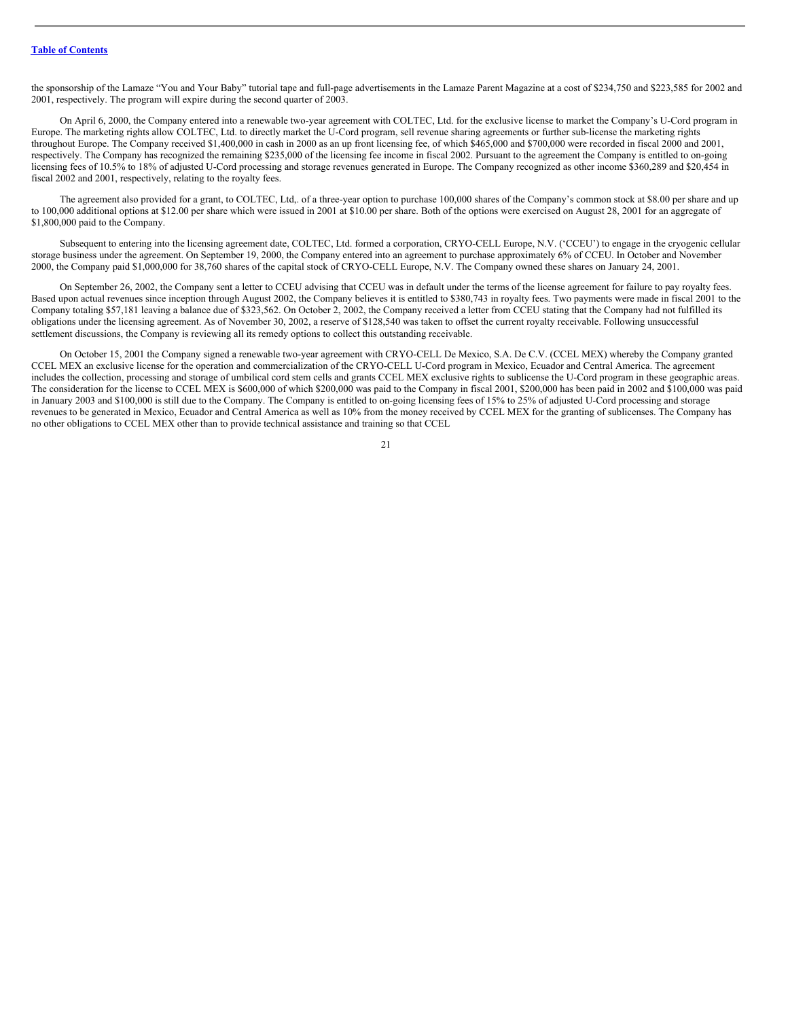the sponsorship of the Lamaze "You and Your Baby" tutorial tape and full-page advertisements in the Lamaze Parent Magazine at a cost of \$234,750 and \$223,585 for 2002 and 2001, respectively. The program will expire during the second quarter of 2003.

On April 6, 2000, the Company entered into a renewable two-year agreement with COLTEC, Ltd. for the exclusive license to market the Company's U-Cord program in Europe. The marketing rights allow COLTEC, Ltd. to directly market the U-Cord program, sell revenue sharing agreements or further sub-license the marketing rights throughout Europe. The Company received \$1,400,000 in cash in 2000 as an up front licensing fee, of which \$465,000 and \$700,000 were recorded in fiscal 2000 and 2001, respectively. The Company has recognized the remaining \$235,000 of the licensing fee income in fiscal 2002. Pursuant to the agreement the Company is entitled to on-going licensing fees of 10.5% to 18% of adjusted U-Cord processing and storage revenues generated in Europe. The Company recognized as other income \$360,289 and \$20,454 in fiscal 2002 and 2001, respectively, relating to the royalty fees.

The agreement also provided for a grant, to COLTEC, Ltd,. of a three-year option to purchase 100,000 shares of the Company's common stock at \$8.00 per share and up to 100,000 additional options at \$12.00 per share which were issued in 2001 at \$10.00 per share. Both of the options were exercised on August 28, 2001 for an aggregate of \$1,800,000 paid to the Company.

Subsequent to entering into the licensing agreement date, COLTEC, Ltd. formed a corporation, CRYO-CELL Europe, N.V. ('CCEU') to engage in the cryogenic cellular storage business under the agreement. On September 19, 2000, the Company entered into an agreement to purchase approximately 6% of CCEU. In October and November 2000, the Company paid \$1,000,000 for 38,760 shares of the capital stock of CRYO-CELL Europe, N.V. The Company owned these shares on January 24, 2001.

On September 26, 2002, the Company sent a letter to CCEU advising that CCEU was in default under the terms of the license agreement for failure to pay royalty fees. Based upon actual revenues since inception through August 2002, the Company believes it is entitled to \$380,743 in royalty fees. Two payments were made in fiscal 2001 to the Company totaling \$57,181 leaving a balance due of \$323,562. On October 2, 2002, the Company received a letter from CCEU stating that the Company had not fulfilled its obligations under the licensing agreement. As of November 30, 2002, a reserve of \$128,540 was taken to offset the current royalty receivable. Following unsuccessful settlement discussions, the Company is reviewing all its remedy options to collect this outstanding receivable.

On October 15, 2001 the Company signed a renewable two-year agreement with CRYO-CELL De Mexico, S.A. De C.V. (CCEL MEX) whereby the Company granted CCEL MEX an exclusive license for the operation and commercialization of the CRYO-CELL U-Cord program in Mexico, Ecuador and Central America. The agreement includes the collection, processing and storage of umbilical cord stem cells and grants CCEL MEX exclusive rights to sublicense the U-Cord program in these geographic areas. The consideration for the license to CCEL MEX is \$600,000 of which \$200,000 was paid to the Company in fiscal 2001, \$200,000 has been paid in 2002 and \$100,000 was paid in January 2003 and \$100,000 is still due to the Company. The Company is entitled to on-going licensing fees of 15% to 25% of adjusted U-Cord processing and storage revenues to be generated in Mexico, Ecuador and Central America as well as 10% from the money received by CCEL MEX for the granting of sublicenses. The Company has no other obligations to CCEL MEX other than to provide technical assistance and training so that CCEL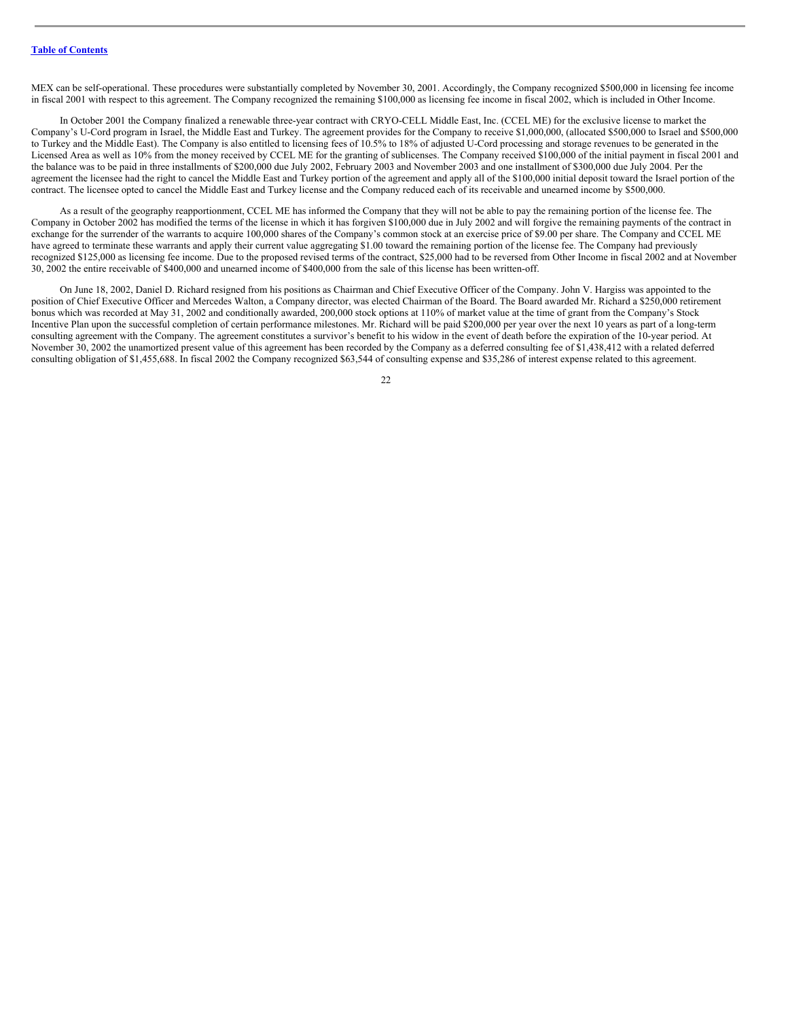MEX can be self-operational. These procedures were substantially completed by November 30, 2001. Accordingly, the Company recognized \$500,000 in licensing fee income in fiscal 2001 with respect to this agreement. The Company recognized the remaining \$100,000 as licensing fee income in fiscal 2002, which is included in Other Income.

In October 2001 the Company finalized a renewable three-year contract with CRYO-CELL Middle East, Inc. (CCEL ME) for the exclusive license to market the Company's U-Cord program in Israel, the Middle East and Turkey. The agreement provides for the Company to receive \$1,000,000, (allocated \$500,000 to Israel and \$500,000 to Turkey and the Middle East). The Company is also entitled to licensing fees of 10.5% to 18% of adjusted U-Cord processing and storage revenues to be generated in the Licensed Area as well as 10% from the money received by CCEL ME for the granting of sublicenses. The Company received \$100,000 of the initial payment in fiscal 2001 and the balance was to be paid in three installments of \$200,000 due July 2002, February 2003 and November 2003 and one installment of \$300,000 due July 2004. Per the agreement the licensee had the right to cancel the Middle East and Turkey portion of the agreement and apply all of the \$100,000 initial deposit toward the Israel portion of the contract. The licensee opted to cancel the Middle East and Turkey license and the Company reduced each of its receivable and unearned income by \$500,000.

As a result of the geography reapportionment, CCEL ME has informed the Company that they will not be able to pay the remaining portion of the license fee. The Company in October 2002 has modified the terms of the license in which it has forgiven \$100,000 due in July 2002 and will forgive the remaining payments of the contract in exchange for the surrender of the warrants to acquire 100,000 shares of the Company's common stock at an exercise price of \$9.00 per share. The Company and CCEL ME have agreed to terminate these warrants and apply their current value aggregating \$1.00 toward the remaining portion of the license fee. The Company had previously recognized \$125,000 as licensing fee income. Due to the proposed revised terms of the contract, \$25,000 had to be reversed from Other Income in fiscal 2002 and at November 30, 2002 the entire receivable of \$400,000 and unearned income of \$400,000 from the sale of this license has been written-off.

On June 18, 2002, Daniel D. Richard resigned from his positions as Chairman and Chief Executive Officer of the Company. John V. Hargiss was appointed to the position of Chief Executive Officer and Mercedes Walton, a Company director, was elected Chairman of the Board. The Board awarded Mr. Richard a \$250,000 retirement bonus which was recorded at May 31, 2002 and conditionally awarded, 200,000 stock options at 110% of market value at the time of grant from the Company's Stock Incentive Plan upon the successful completion of certain performance milestones. Mr. Richard will be paid \$200,000 per year over the next 10 years as part of a long-term consulting agreement with the Company. The agreement constitutes a survivor's benefit to his widow in the event of death before the expiration of the 10-year period. At November 30, 2002 the unamortized present value of this agreement has been recorded by the Company as a deferred consulting fee of \$1,438,412 with a related deferred consulting obligation of \$1,455,688. In fiscal 2002 the Company recognized \$63,544 of consulting expense and \$35,286 of interest expense related to this agreement.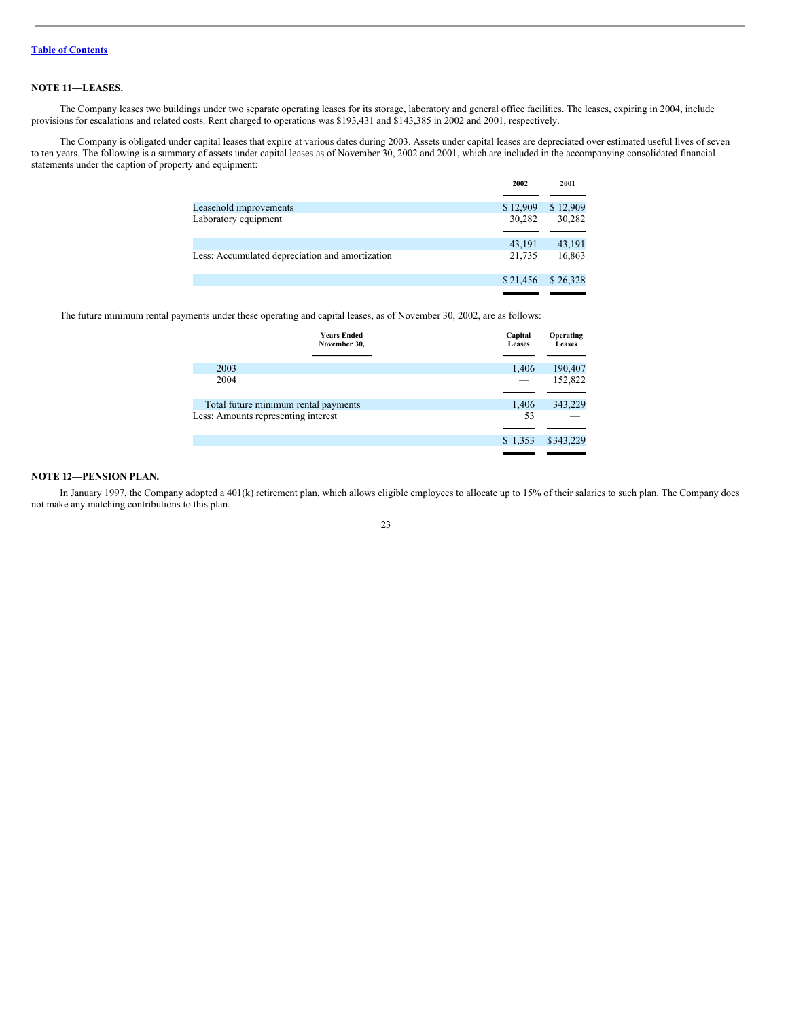## **NOTE 11—LEASES.**

The Company leases two buildings under two separate operating leases for its storage, laboratory and general office facilities. The leases, expiring in 2004, include provisions for escalations and related costs. Rent charged to operations was \$193,431 and \$143,385 in 2002 and 2001, respectively.

The Company is obligated under capital leases that expire at various dates during 2003. Assets under capital leases are depreciated over estimated useful lives of seven to ten years. The following is a summary of assets under capital leases as of November 30, 2002 and 2001, which are included in the accompanying consolidated financial statements under the caption of property and equipment:

|                                                 | 2002     | 2001     |
|-------------------------------------------------|----------|----------|
| Leasehold improvements                          | \$12,909 | \$12,909 |
| Laboratory equipment                            | 30,282   | 30,282   |
|                                                 |          |          |
|                                                 | 43,191   | 43,191   |
| Less: Accumulated depreciation and amortization | 21,735   | 16,863   |
|                                                 |          |          |
|                                                 | \$21,456 | \$26,328 |
|                                                 |          |          |

The future minimum rental payments under these operating and capital leases, as of November 30, 2002, are as follows:

| <b>Years Ended</b><br>November 30,   | Capital<br>Leases | Operating<br>Leases |
|--------------------------------------|-------------------|---------------------|
| 2003                                 | 1,406             | 190,407             |
| 2004                                 |                   | 152,822             |
| Total future minimum rental payments | 1,406             | 343,229             |
| Less: Amounts representing interest  | 53                |                     |
|                                      | \$1.353           | \$343,229           |

## **NOTE 12—PENSION PLAN.**

In January 1997, the Company adopted a 401(k) retirement plan, which allows eligible employees to allocate up to 15% of their salaries to such plan. The Company does not make any matching contributions to this plan.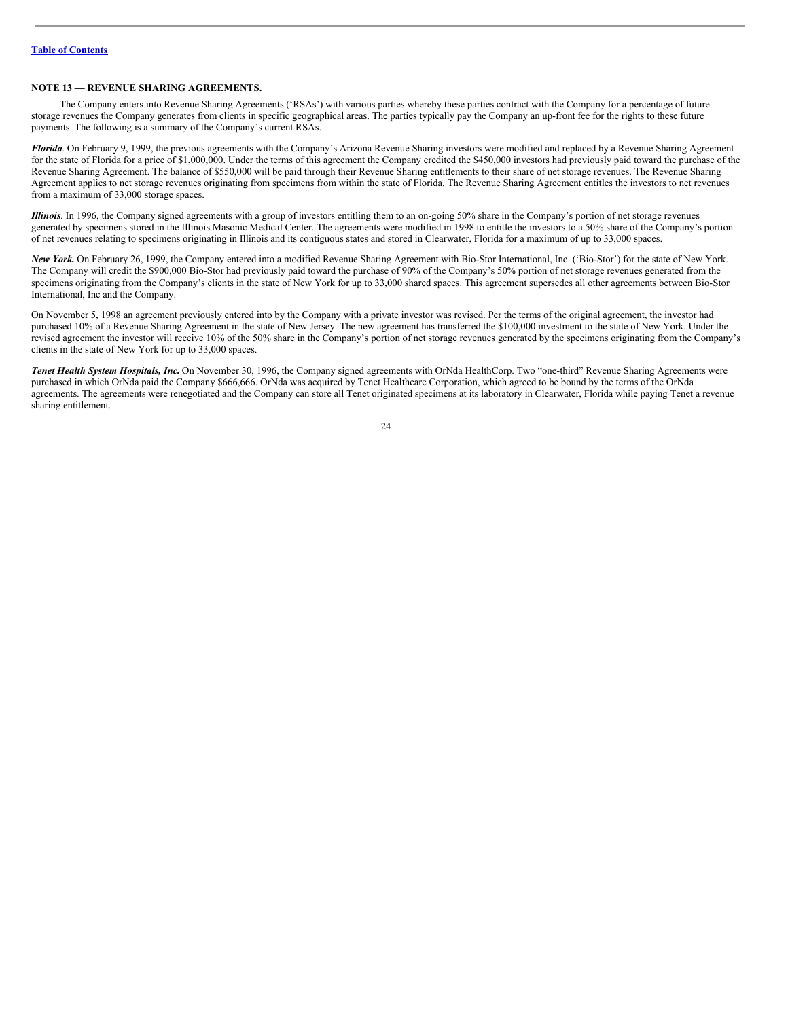#### **NOTE 13 — REVENUE SHARING AGREEMENTS.**

The Company enters into Revenue Sharing Agreements ('RSAs') with various parties whereby these parties contract with the Company for a percentage of future storage revenues the Company generates from clients in specific geographical areas. The parties typically pay the Company an up-front fee for the rights to these future payments. The following is a summary of the Company's current RSAs.

*Florida*. On February 9, 1999, the previous agreements with the Company's Arizona Revenue Sharing investors were modified and replaced by a Revenue Sharing Agreement for the state of Florida for a price of \$1,000,000. Under the terms of this agreement the Company credited the \$450,000 investors had previously paid toward the purchase of the Revenue Sharing Agreement. The balance of \$550,000 will be paid through their Revenue Sharing entitlements to their share of net storage revenues. The Revenue Sharing Agreement applies to net storage revenues originating from specimens from within the state of Florida. The Revenue Sharing Agreement entitles the investors to net revenues from a maximum of 33,000 storage spaces.

*Illinois*. In 1996, the Company signed agreements with a group of investors entitling them to an on-going 50% share in the Company's portion of net storage revenues generated by specimens stored in the Illinois Masonic Medical Center. The agreements were modified in 1998 to entitle the investors to a 50% share of the Company's portion of net revenues relating to specimens originating in Illinois and its contiguous states and stored in Clearwater, Florida for a maximum of up to 33,000 spaces.

*New York.* On February 26, 1999, the Company entered into a modified Revenue Sharing Agreement with Bio-Stor International, Inc. ('Bio-Stor') for the state of New York. The Company will credit the \$900,000 Bio-Stor had previously paid toward the purchase of 90% of the Company's 50% portion of net storage revenues generated from the specimens originating from the Company's clients in the state of New York for up to 33,000 shared spaces. This agreement supersedes all other agreements between Bio-Stor International, Inc and the Company.

On November 5, 1998 an agreement previously entered into by the Company with a private investor was revised. Per the terms of the original agreement, the investor had purchased 10% of a Revenue Sharing Agreement in the state of New Jersey. The new agreement has transferred the \$100,000 investment to the state of New York. Under the revised agreement the investor will receive 10% of the 50% share in the Company's portion of net storage revenues generated by the specimens originating from the Company's clients in the state of New York for up to 33,000 spaces.

*Tenet Health System Hospitals, Inc.* On November 30, 1996, the Company signed agreements with OrNda HealthCorp. Two "one-third" Revenue Sharing Agreements were purchased in which OrNda paid the Company \$666,666. OrNda was acquired by Tenet Healthcare Corporation, which agreed to be bound by the terms of the OrNda agreements. The agreements were renegotiated and the Company can store all Tenet originated specimens at its laboratory in Clearwater, Florida while paying Tenet a revenue sharing entitlement.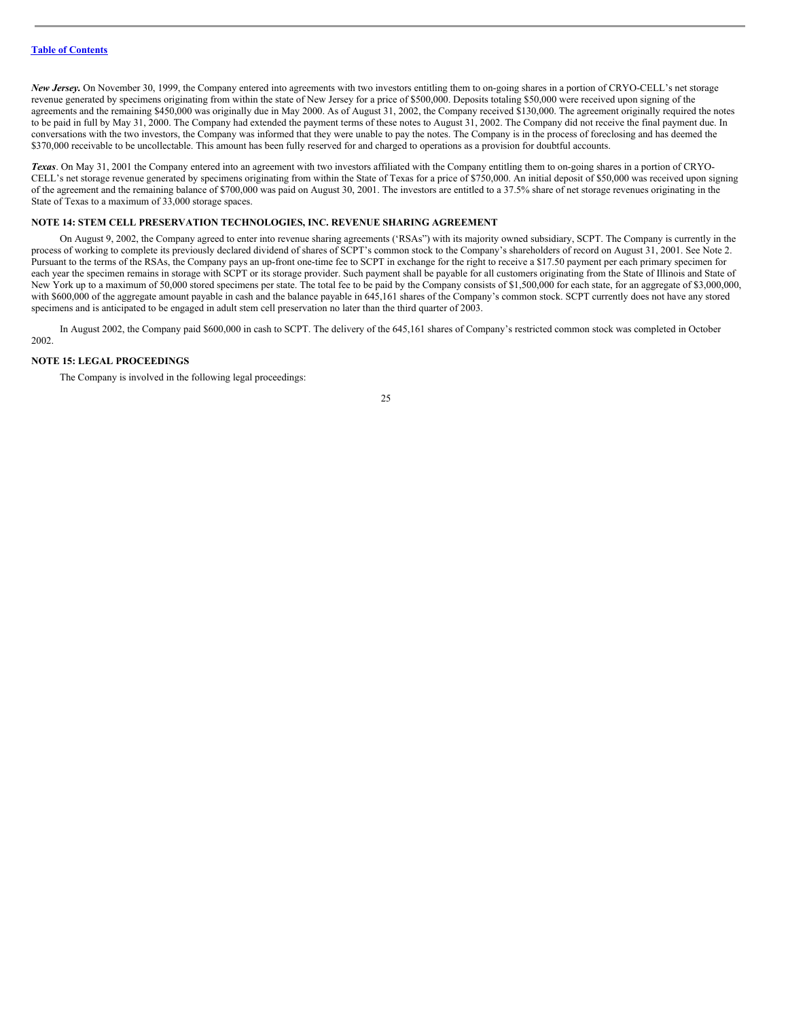*New Jersey.* On November 30, 1999, the Company entered into agreements with two investors entitling them to on-going shares in a portion of CRYO-CELL's net storage revenue generated by specimens originating from within the state of New Jersey for a price of \$500,000. Deposits totaling \$50,000 were received upon signing of the agreements and the remaining \$450,000 was originally due in May 2000. As of August 31, 2002, the Company received \$130,000. The agreement originally required the notes to be paid in full by May 31, 2000. The Company had extended the payment terms of these notes to August 31, 2002. The Company did not receive the final payment due. In conversations with the two investors, the Company was informed that they were unable to pay the notes. The Company is in the process of foreclosing and has deemed the \$370,000 receivable to be uncollectable. This amount has been fully reserved for and charged to operations as a provision for doubtful accounts.

*Texas*. On May 31, 2001 the Company entered into an agreement with two investors affiliated with the Company entitling them to on-going shares in a portion of CRYO-CELL's net storage revenue generated by specimens originating from within the State of Texas for a price of \$750,000. An initial deposit of \$50,000 was received upon signing of the agreement and the remaining balance of \$700,000 was paid on August 30, 2001. The investors are entitled to a 37.5% share of net storage revenues originating in the State of Texas to a maximum of 33,000 storage spaces.

#### **NOTE 14: STEM CELL PRESERVATION TECHNOLOGIES, INC. REVENUE SHARING AGREEMENT**

On August 9, 2002, the Company agreed to enter into revenue sharing agreements ('RSAs") with its majority owned subsidiary, SCPT. The Company is currently in the process of working to complete its previously declared dividend of shares of SCPT's common stock to the Company's shareholders of record on August 31, 2001. See Note 2. Pursuant to the terms of the RSAs, the Company pays an up-front one-time fee to SCPT in exchange for the right to receive a \$17.50 payment per each primary specimen for each year the specimen remains in storage with SCPT or its storage provider. Such payment shall be payable for all customers originating from the State of Illinois and State of New York up to a maximum of 50,000 stored specimens per state. The total fee to be paid by the Company consists of \$1,500,000 for each state, for an aggregate of \$3,000,000, with \$600,000 of the aggregate amount payable in cash and the balance payable in 645,161 shares of the Company's common stock. SCPT currently does not have any stored specimens and is anticipated to be engaged in adult stem cell preservation no later than the third quarter of 2003.

In August 2002, the Company paid \$600,000 in cash to SCPT. The delivery of the 645,161 shares of Company's restricted common stock was completed in October 2002.

## **NOTE 15: LEGAL PROCEEDINGS**

The Company is involved in the following legal proceedings: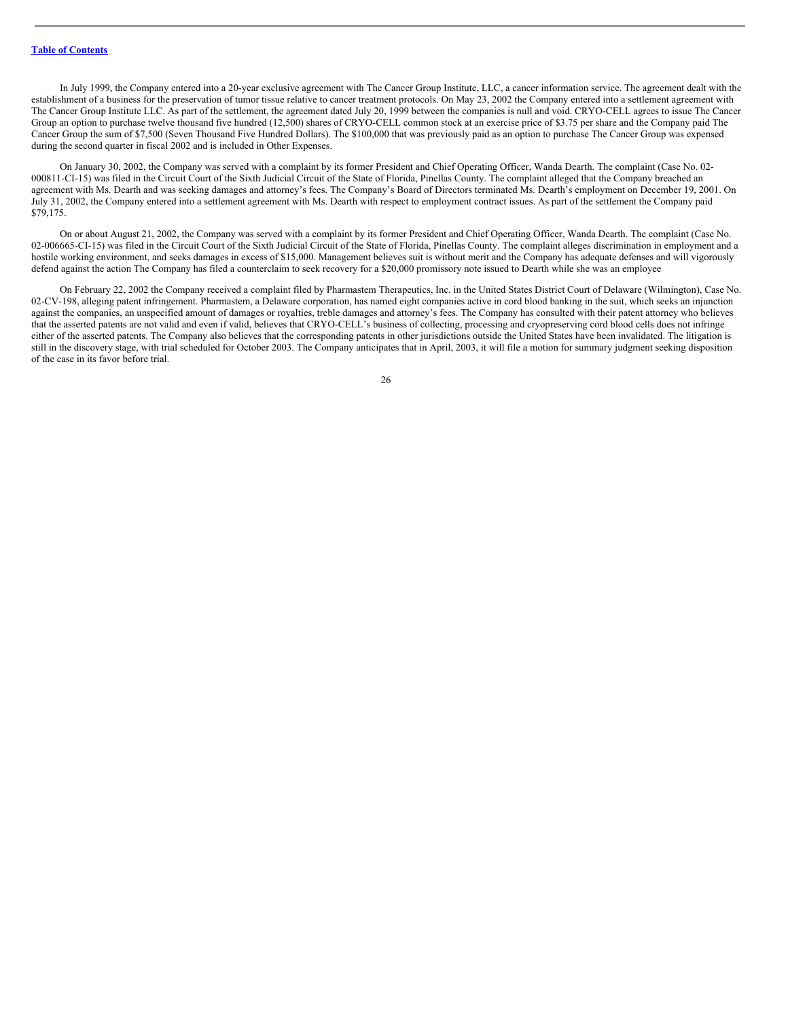In July 1999, the Company entered into a 20-year exclusive agreement with The Cancer Group Institute, LLC, a cancer information service. The agreement dealt with the establishment of a business for the preservation of tumor tissue relative to cancer treatment protocols. On May 23, 2002 the Company entered into a settlement agreement with The Cancer Group Institute LLC. As part of the settlement, the agreement dated July 20, 1999 between the companies is null and void. CRYO-CELL agrees to issue The Cancer Group an option to purchase twelve thousand five hundred (12,500) shares of CRYO-CELL common stock at an exercise price of \$3.75 per share and the Company paid The Cancer Group the sum of \$7,500 (Seven Thousand Five Hundred Dollars). The \$100,000 that was previously paid as an option to purchase The Cancer Group was expensed during the second quarter in fiscal 2002 and is included in Other Expenses.

On January 30, 2002, the Company was served with a complaint by its former President and Chief Operating Officer, Wanda Dearth. The complaint (Case No. 02- 000811-CI-15) was filed in the Circuit Court of the Sixth Judicial Circuit of the State of Florida, Pinellas County. The complaint alleged that the Company breached an agreement with Ms. Dearth and was seeking damages and attorney's fees. The Company's Board of Directors terminated Ms. Dearth's employment on December 19, 2001. On July 31, 2002, the Company entered into a settlement agreement with Ms. Dearth with respect to employment contract issues. As part of the settlement the Company paid \$79,175.

On or about August 21, 2002, the Company was served with a complaint by its former President and Chief Operating Officer, Wanda Dearth. The complaint (Case No. 02-006665-CI-15) was filed in the Circuit Court of the Sixth Judicial Circuit of the State of Florida, Pinellas County. The complaint alleges discrimination in employment and a hostile working environment, and seeks damages in excess of \$15,000. Management believes suit is without merit and the Company has adequate defenses and will vigorously defend against the action The Company has filed a counterclaim to seek recovery for a \$20,000 promissory note issued to Dearth while she was an employee

On February 22, 2002 the Company received a complaint filed by Pharmastem Therapeutics, Inc. in the United States District Court of Delaware (Wilmington), Case No. 02-CV-198, alleging patent infringement. Pharmastem, a Delaware corporation, has named eight companies active in cord blood banking in the suit, which seeks an injunction against the companies, an unspecified amount of damages or royalties, treble damages and attorney's fees. The Company has consulted with their patent attorney who believes that the asserted patents are not valid and even if valid, believes that CRYO-CELL's business of collecting, processing and cryopreserving cord blood cells does not infringe either of the asserted patents. The Company also believes that the corresponding patents in other jurisdictions outside the United States have been invalidated. The litigation is still in the discovery stage, with trial scheduled for October 2003. The Company anticipates that in April, 2003, it will file a motion for summary judgment seeking disposition of the case in its favor before trial.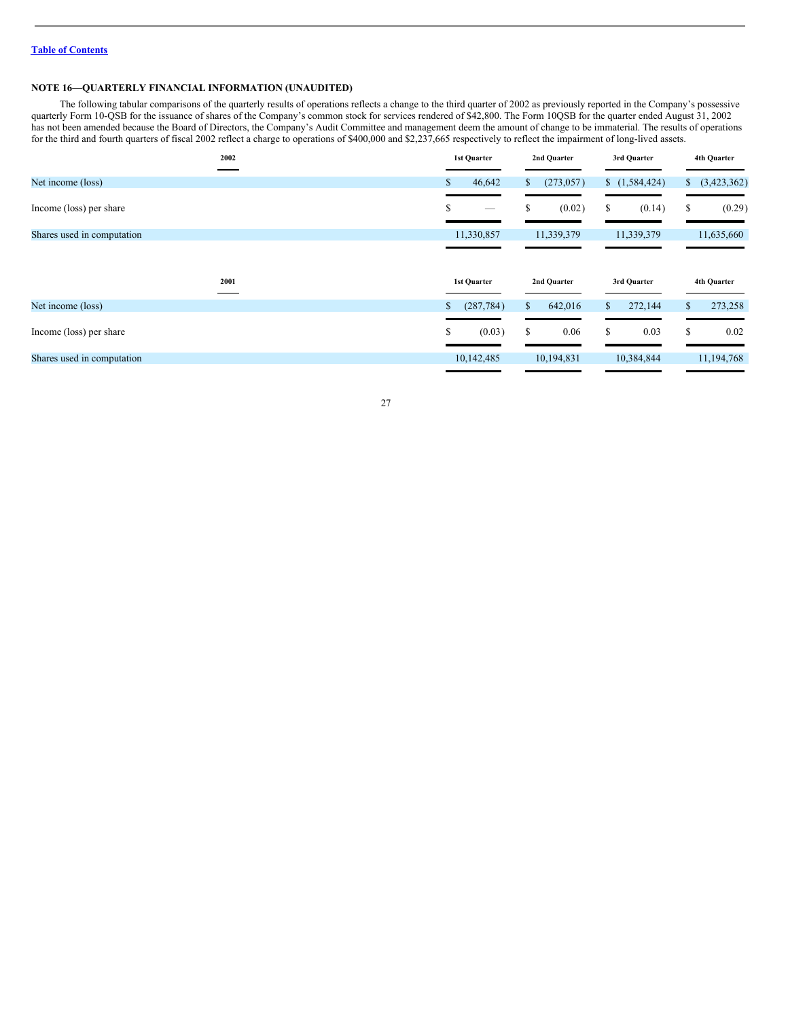## **NOTE 16—QUARTERLY FINANCIAL INFORMATION (UNAUDITED)**

The following tabular comparisons of the quarterly results of operations reflects a change to the third quarter of 2002 as previously reported in the Company's possessive quarterly Form 10-QSB for the issuance of shares of the Company's common stock for services rendered of \$42,800. The Form 10QSB for the quarter ended August 31, 2002 has not been amended because the Board of Directors, the Company's Audit Committee and management deem the amount of change to be immaterial. The results of operations for the third and fourth quarters of fiscal 2002 reflect a charge to operations of \$400,000 and \$2,237,665 respectively to reflect the impairment of long-lived assets.

| 2002                       | <b>1st Quarter</b> | 2nd Quarter       | 3rd Quarter   | 4th Quarter             |
|----------------------------|--------------------|-------------------|---------------|-------------------------|
| Net income (loss)          | 46,642<br>S        | (273, 057)<br>\$. | (1,584,424)   | (3,423,362)<br>\$       |
| Income (loss) per share    | S                  | \$<br>(0.02)      | (0.14)<br>\$  | (0.29)<br>\$            |
| Shares used in computation | 11,330,857         | 11,339,379        | 11,339,379    | 11,635,660              |
|                            |                    |                   |               |                         |
| 2001                       | <b>1st Quarter</b> | 2nd Quarter       | 3rd Quarter   | 4th Quarter             |
| Net income (loss)          | (287, 784)<br>S    | 642,016<br>\$.    | 272,144<br>S. | 273,258<br>$\mathbb{S}$ |
| Income (loss) per share    | S<br>(0.03)        | \$<br>0.06        | S.<br>0.03    | S.<br>0.02              |
| Shares used in computation | 10,142,485         | 10,194,831        | 10,384,844    | 11,194,768              |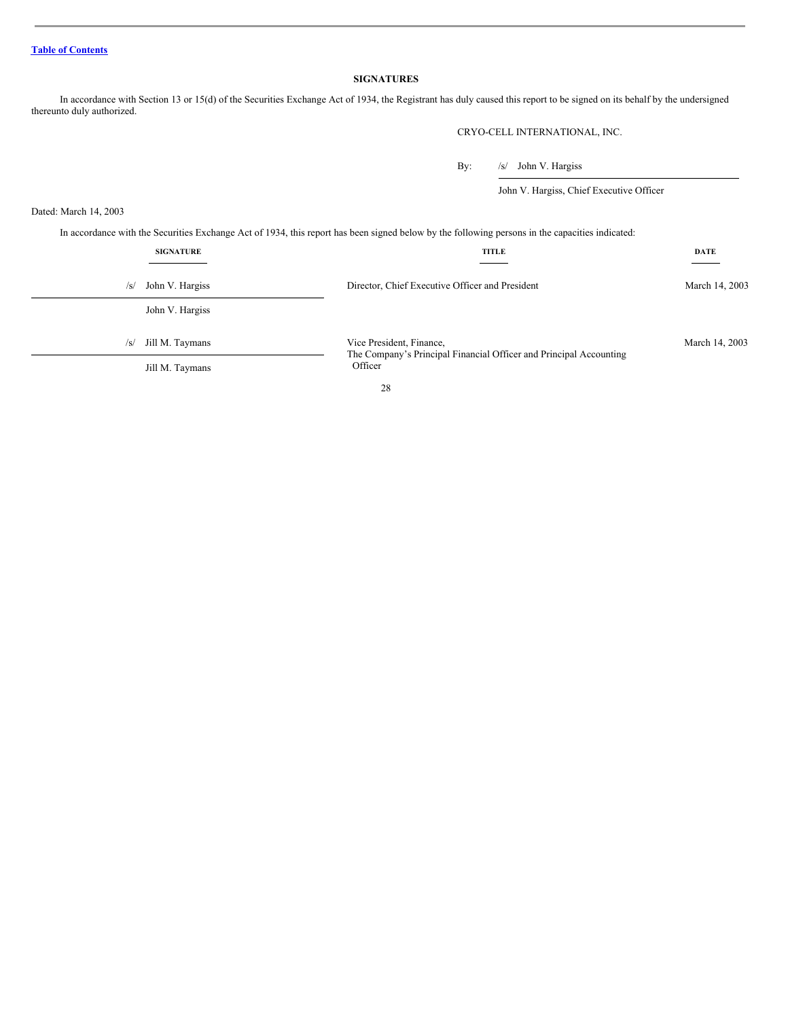## **SIGNATURES**

In accordance with Section 13 or 15(d) of the Securities Exchange Act of 1934, the Registrant has duly caused this report to be signed on its behalf by the undersigned thereunto duly authorized.

## CRYO-CELL INTERNATIONAL, INC.

By: /s/ John V. Hargiss

John V. Hargiss, Chief Executive Officer

Dated: March 14, 2003

In accordance with the Securities Exchange Act of 1934, this report has been signed below by the following persons in the capacities indicated:

| <b>SIGNATURE</b>              | <b>TITLE</b>                                                                                   | <b>DATE</b>    |
|-------------------------------|------------------------------------------------------------------------------------------------|----------------|
| John V. Hargiss<br>$\sqrt{s}$ | Director, Chief Executive Officer and President                                                | March 14, 2003 |
| John V. Hargiss               |                                                                                                |                |
| Jill M. Taymans<br>$\sqrt{s}$ | Vice President, Finance,<br>The Company's Principal Financial Officer and Principal Accounting | March 14, 2003 |
| Jill M. Taymans               | Officer                                                                                        |                |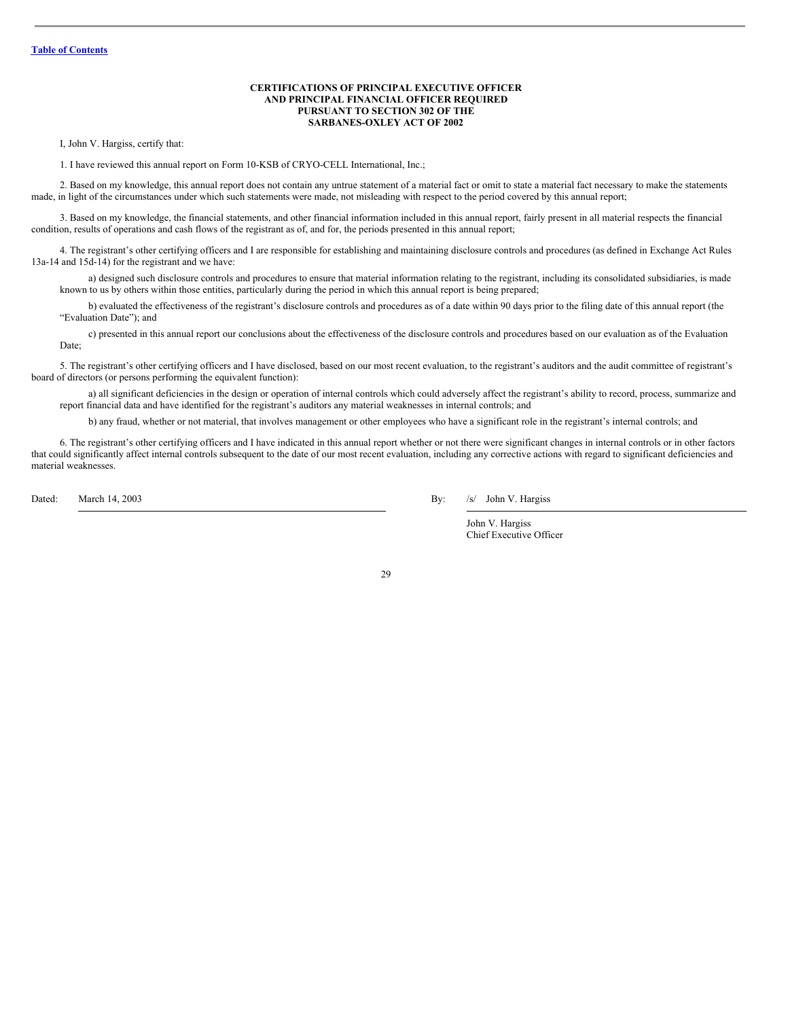#### **CERTIFICATIONS OF PRINCIPAL EXECUTIVE OFFICER AND PRINCIPAL FINANCIAL OFFICER REQUIRED PURSUANT TO SECTION 302 OF THE SARBANES-OXLEY ACT OF 2002**

I, John V. Hargiss, certify that:

1. I have reviewed this annual report on Form 10-KSB of CRYO-CELL International, Inc.;

2. Based on my knowledge, this annual report does not contain any untrue statement of a material fact or omit to state a material fact necessary to make the statements made, in light of the circumstances under which such statements were made, not misleading with respect to the period covered by this annual report;

3. Based on my knowledge, the financial statements, and other financial information included in this annual report, fairly present in all material respects the financial condition, results of operations and cash flows of the registrant as of, and for, the periods presented in this annual report;

4. The registrant's other certifying officers and I are responsible for establishing and maintaining disclosure controls and procedures (as defined in Exchange Act Rules 13a-14 and 15d-14) for the registrant and we have:

a) designed such disclosure controls and procedures to ensure that material information relating to the registrant, including its consolidated subsidiaries, is made known to us by others within those entities, particularly during the period in which this annual report is being prepared;

b) evaluated the effectiveness of the registrant's disclosure controls and procedures as of a date within 90 days prior to the filing date of this annual report (the "Evaluation Date"); and

c) presented in this annual report our conclusions about the effectiveness of the disclosure controls and procedures based on our evaluation as of the Evaluation Date;

5. The registrant's other certifying officers and I have disclosed, based on our most recent evaluation, to the registrant's auditors and the audit committee of registrant's board of directors (or persons performing the equivalent function):

a) all significant deficiencies in the design or operation of internal controls which could adversely affect the registrant's ability to record, process, summarize and report financial data and have identified for the registrant's auditors any material weaknesses in internal controls; and

b) any fraud, whether or not material, that involves management or other employees who have a significant role in the registrant's internal controls; and

6. The registrant's other certifying officers and I have indicated in this annual report whether or not there were significant changes in internal controls or in other factors that could significantly affect internal controls subsequent to the date of our most recent evaluation, including any corrective actions with regard to significant deficiencies and material weaknesses.

Dated: March 14, 2003 By: /s/ John V. Hargiss

John V. Hargiss Chief Executive Officer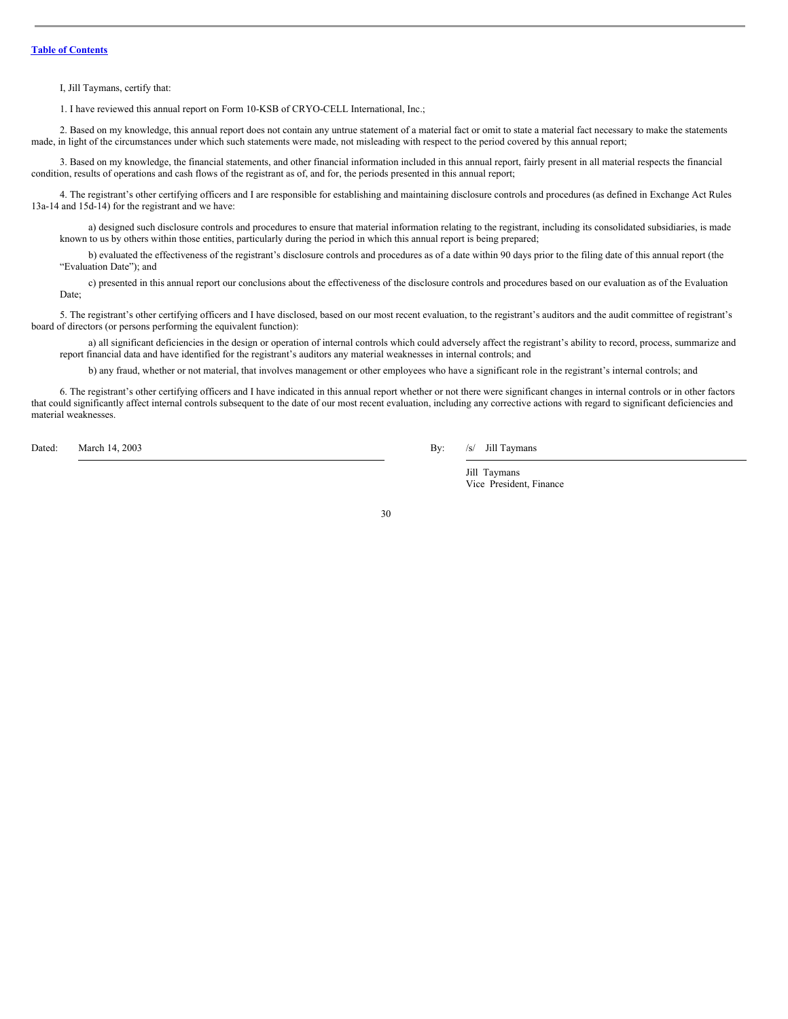I, Jill Taymans, certify that:

1. I have reviewed this annual report on Form 10-KSB of CRYO-CELL International, Inc.;

2. Based on my knowledge, this annual report does not contain any untrue statement of a material fact or omit to state a material fact necessary to make the statements made, in light of the circumstances under which such statements were made, not misleading with respect to the period covered by this annual report;

3. Based on my knowledge, the financial statements, and other financial information included in this annual report, fairly present in all material respects the financial condition, results of operations and cash flows of the registrant as of, and for, the periods presented in this annual report;

4. The registrant's other certifying officers and I are responsible for establishing and maintaining disclosure controls and procedures (as defined in Exchange Act Rules 13a-14 and 15d-14) for the registrant and we have:

a) designed such disclosure controls and procedures to ensure that material information relating to the registrant, including its consolidated subsidiaries, is made known to us by others within those entities, particularly during the period in which this annual report is being prepared;

b) evaluated the effectiveness of the registrant's disclosure controls and procedures as of a date within 90 days prior to the filing date of this annual report (the "Evaluation Date"); and

c) presented in this annual report our conclusions about the effectiveness of the disclosure controls and procedures based on our evaluation as of the Evaluation Date;

5. The registrant's other certifying officers and I have disclosed, based on our most recent evaluation, to the registrant's auditors and the audit committee of registrant's board of directors (or persons performing the equivalent function):

a) all significant deficiencies in the design or operation of internal controls which could adversely affect the registrant's ability to record, process, summarize and report financial data and have identified for the registrant's auditors any material weaknesses in internal controls; and

b) any fraud, whether or not material, that involves management or other employees who have a significant role in the registrant's internal controls; and

6. The registrant's other certifying officers and I have indicated in this annual report whether or not there were significant changes in internal controls or in other factors that could significantly affect internal controls subsequent to the date of our most recent evaluation, including any corrective actions with regard to significant deficiencies and material weaknesses.

Dated: March 14, 2003 By: /s/ Jill Taymans

Jill Taymans Vice President, Finance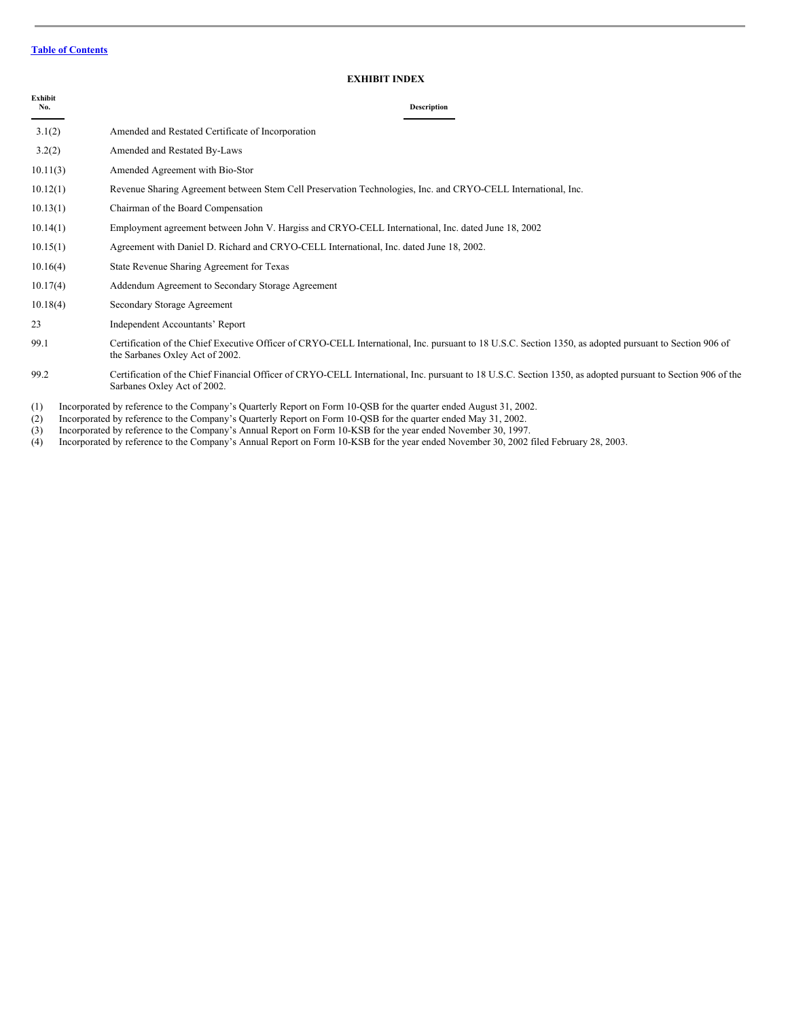# **EXHIBIT INDEX**

| Exhibit<br>No. | <b>Description</b>                                                                                                                                                                         |
|----------------|--------------------------------------------------------------------------------------------------------------------------------------------------------------------------------------------|
| 3.1(2)         | Amended and Restated Certificate of Incorporation                                                                                                                                          |
| 3.2(2)         | Amended and Restated By-Laws                                                                                                                                                               |
| 10.11(3)       | Amended Agreement with Bio-Stor                                                                                                                                                            |
| 10.12(1)       | Revenue Sharing Agreement between Stem Cell Preservation Technologies, Inc. and CRYO-CELL International, Inc.                                                                              |
| 10.13(1)       | Chairman of the Board Compensation                                                                                                                                                         |
| 10.14(1)       | Employment agreement between John V. Hargiss and CRYO-CELL International, Inc. dated June 18, 2002                                                                                         |
| 10.15(1)       | Agreement with Daniel D. Richard and CRYO-CELL International, Inc. dated June 18, 2002.                                                                                                    |
| 10.16(4)       | State Revenue Sharing Agreement for Texas                                                                                                                                                  |
| 10.17(4)       | Addendum Agreement to Secondary Storage Agreement                                                                                                                                          |
| 10.18(4)       | Secondary Storage Agreement                                                                                                                                                                |
| 23             | Independent Accountants' Report                                                                                                                                                            |
| 99.1           | Certification of the Chief Executive Officer of CRYO-CELL International, Inc. pursuant to 18 U.S.C. Section 1350, as adopted pursuant to Section 906 of<br>the Sarbanes Oxley Act of 2002. |
| 99.2           | Certification of the Chief Financial Officer of CRYO-CELL International, Inc. pursuant to 18 U.S.C. Section 1350, as adopted pursuant to Section 906 of the<br>Sarbanes Oxley Act of 2002. |

(1) Incorporated by reference to the Company's Quarterly Report on Form 10-QSB for the quarter ended August 31, 2002.

(2) Incorporated by reference to the Company's Quarterly Report on Form 10-QSB for the quarter ended May 31, 2002.

(3) Incorporated by reference to the Company's Annual Report on Form 10-KSB for the year ended November 30, 1997.

(4) Incorporated by reference to the Company's Annual Report on Form 10-KSB for the year ended November 30, 2002 filed February 28, 2003.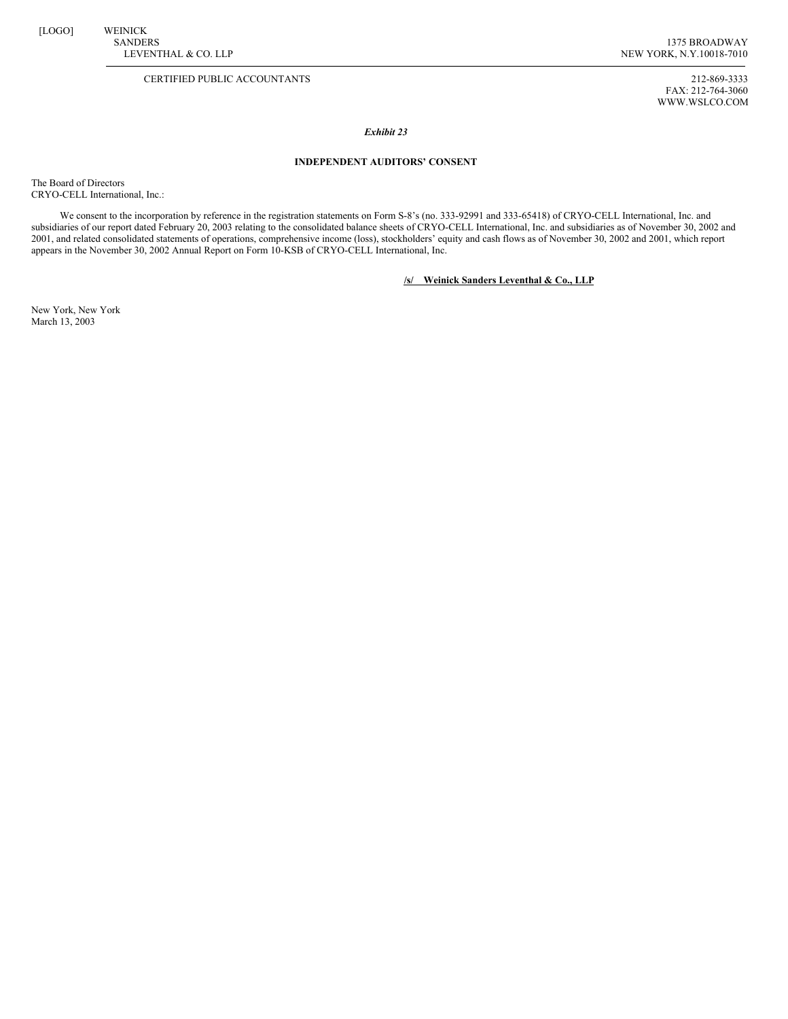[LOGO] WEINICK SANDERS LEVENTHAL & CO. LLP

CERTIFIED PUBLIC ACCOUNTANTS 212-869-3333

FAX: 212-764-3060 WWW.WSLCO.COM

#### *Exhibit 23*

## **INDEPENDENT AUDITORS' CONSENT**

The Board of Directors CRYO-CELL International, Inc.:

We consent to the incorporation by reference in the registration statements on Form S-8's (no. 333-92991 and 333-65418) of CRYO-CELL International, Inc. and subsidiaries of our report dated February 20, 2003 relating to the consolidated balance sheets of CRYO-CELL International, Inc. and subsidiaries as of November 30, 2002 and 2001, and related consolidated statements of operations, comprehensive income (loss), stockholders' equity and cash flows as of November 30, 2002 and 2001, which report appears in the November 30, 2002 Annual Report on Form 10-KSB of CRYO-CELL International, Inc.

**/s/ Weinick Sanders Leventhal & Co., LLP**

New York, New York March 13, 2003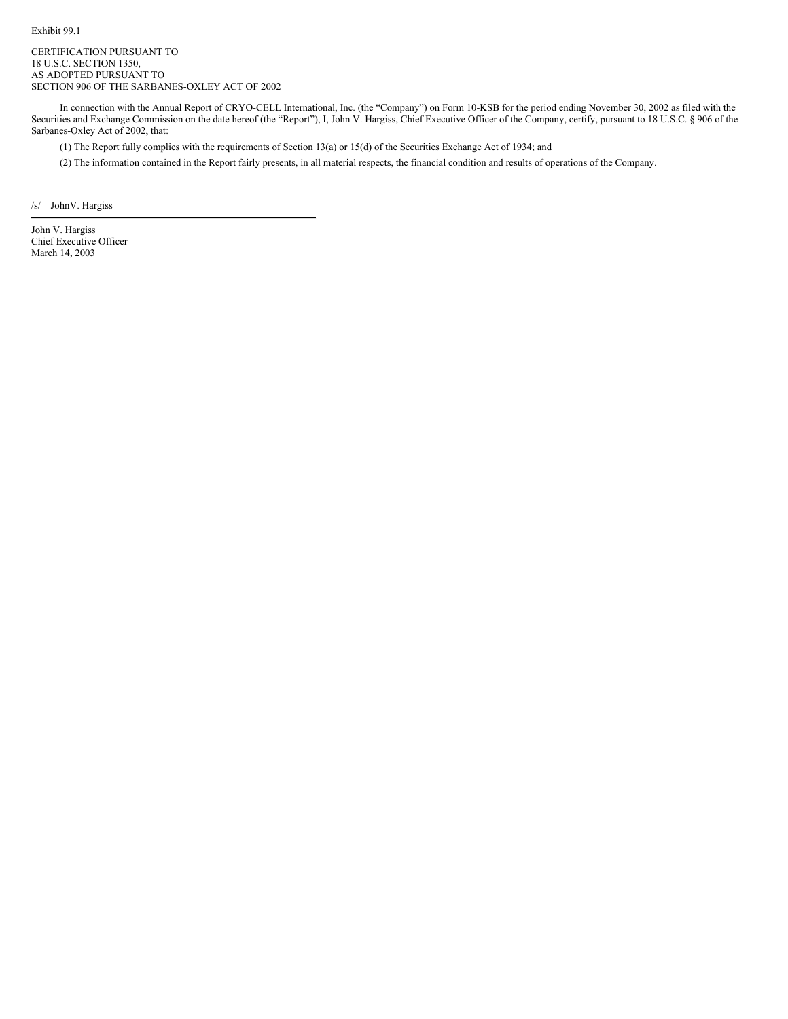Exhibit 99.1

CERTIFICATION PURSUANT TO 18 U.S.C. SECTION 1350, AS ADOPTED PURSUANT TO SECTION 906 OF THE SARBANES-OXLEY ACT OF 2002

In connection with the Annual Report of CRYO-CELL International, Inc. (the "Company") on Form 10-KSB for the period ending November 30, 2002 as filed with the Securities and Exchange Commission on the date hereof (the "Report"), I, John V. Hargiss, Chief Executive Officer of the Company, certify, pursuant to 18 U.S.C. § 906 of the Sarbanes-Oxley Act of 2002, that:

(1) The Report fully complies with the requirements of Section 13(a) or 15(d) of the Securities Exchange Act of 1934; and

(2) The information contained in the Report fairly presents, in all material respects, the financial condition and results of operations of the Company.

/s/ JohnV. Hargiss

John V. Hargiss Chief Executive Officer March 14, 2003